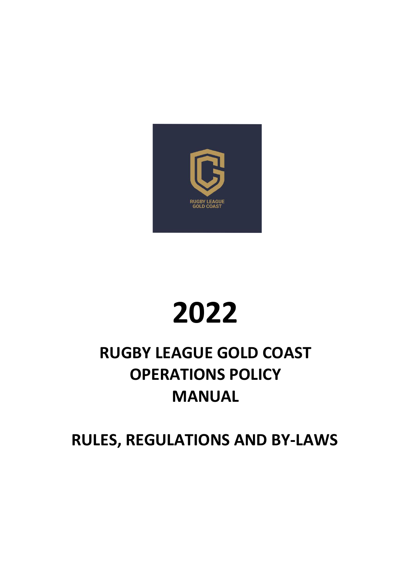

# **2022**

## **RUGBY LEAGUE GOLD COAST OPERATIONS POLICY MANUAL**

**RULES, REGULATIONS AND BY-LAWS**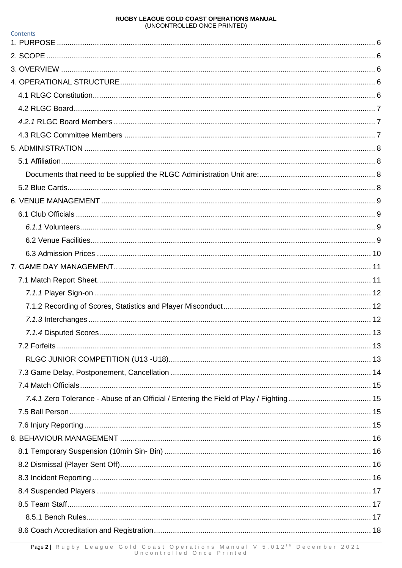| Contents              |    |
|-----------------------|----|
|                       |    |
|                       |    |
|                       |    |
|                       |    |
|                       |    |
|                       |    |
|                       |    |
|                       |    |
|                       |    |
|                       |    |
|                       |    |
|                       |    |
|                       |    |
|                       |    |
|                       |    |
|                       |    |
|                       |    |
|                       |    |
|                       |    |
|                       |    |
|                       |    |
|                       |    |
| 7.1.4 Disputed Scores | 13 |
|                       |    |
|                       |    |
|                       |    |
|                       |    |
|                       |    |
|                       |    |
|                       |    |
|                       |    |
|                       |    |
|                       |    |
|                       |    |
|                       |    |
|                       |    |
|                       |    |
|                       |    |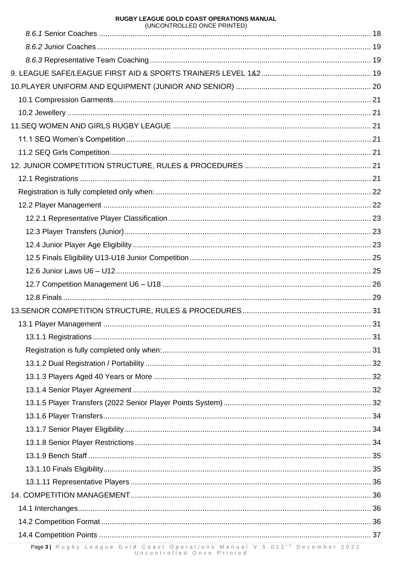| (UNCONTROLLED ONCE PRINTED) |  |
|-----------------------------|--|
|                             |  |
|                             |  |
|                             |  |
|                             |  |
|                             |  |
|                             |  |
|                             |  |
|                             |  |
|                             |  |
|                             |  |
|                             |  |
|                             |  |
|                             |  |
|                             |  |
|                             |  |
|                             |  |
|                             |  |
|                             |  |
|                             |  |
|                             |  |
|                             |  |
|                             |  |
|                             |  |
|                             |  |
|                             |  |
|                             |  |
|                             |  |
|                             |  |
|                             |  |
|                             |  |
|                             |  |
|                             |  |
|                             |  |
|                             |  |
|                             |  |
|                             |  |
|                             |  |
|                             |  |
|                             |  |
|                             |  |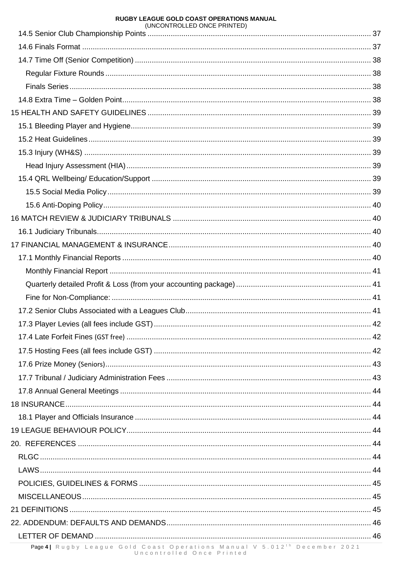| (UNUUNTRULLED UNUE PRINTED) |  |
|-----------------------------|--|
|                             |  |
|                             |  |
|                             |  |
|                             |  |
|                             |  |
|                             |  |
|                             |  |
|                             |  |
|                             |  |
|                             |  |
|                             |  |
|                             |  |
|                             |  |
|                             |  |
|                             |  |
|                             |  |
|                             |  |
|                             |  |
|                             |  |
|                             |  |
|                             |  |
|                             |  |
|                             |  |
|                             |  |
|                             |  |
|                             |  |
|                             |  |
|                             |  |
|                             |  |
|                             |  |
|                             |  |
|                             |  |
|                             |  |
|                             |  |
|                             |  |
|                             |  |
|                             |  |
|                             |  |
|                             |  |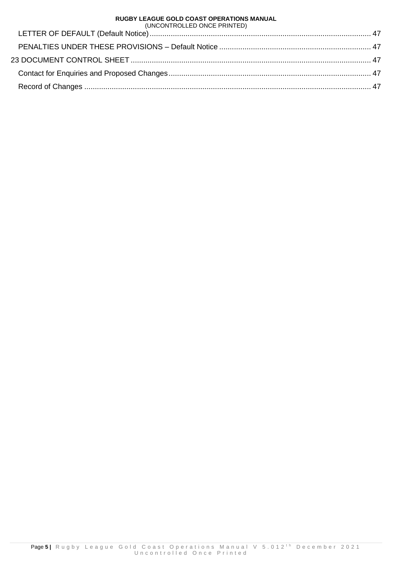| (UNCONTROLLED ONCE PRINTED) |  |  |  |
|-----------------------------|--|--|--|
|-----------------------------|--|--|--|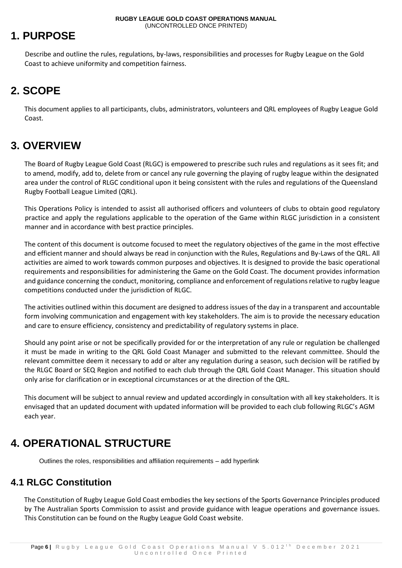## <span id="page-5-0"></span>**1. PURPOSE**

Describe and outline the rules, regulations, by-laws, responsibilities and processes for Rugby League on the Gold Coast to achieve uniformity and competition fairness.

## <span id="page-5-1"></span>**2. SCOPE**

This document applies to all participants, clubs, administrators, volunteers and QRL employees of Rugby League Gold Coast.

## <span id="page-5-2"></span>**3. OVERVIEW**

The Board of Rugby League Gold Coast (RLGC) is empowered to prescribe such rules and regulations as it sees fit; and to amend, modify, add to, delete from or cancel any rule governing the playing of rugby league within the designated area under the control of RLGC conditional upon it being consistent with the rules and regulations of the Queensland Rugby Football League Limited (QRL).

This Operations Policy is intended to assist all authorised officers and volunteers of clubs to obtain good regulatory practice and apply the regulations applicable to the operation of the Game within RLGC jurisdiction in a consistent manner and in accordance with best practice principles.

The content of this document is outcome focused to meet the regulatory objectives of the game in the most effective and efficient manner and should always be read in conjunction with the Rules, Regulations and By-Laws of the QRL. All activities are aimed to work towards common purposes and objectives. It is designed to provide the basic operational requirements and responsibilities for administering the Game on the Gold Coast. The document provides information and guidance concerning the conduct, monitoring, compliance and enforcement of regulations relative to rugby league competitions conducted under the jurisdiction of RLGC.

The activities outlined within this document are designed to address issues of the day in a transparent and accountable form involving communication and engagement with key stakeholders. The aim is to provide the necessary education and care to ensure efficiency, consistency and predictability of regulatory systems in place.

Should any point arise or not be specifically provided for or the interpretation of any rule or regulation be challenged it must be made in writing to the QRL Gold Coast Manager and submitted to the relevant committee. Should the relevant committee deem it necessary to add or alter any regulation during a season, such decision will be ratified by the RLGC Board or SEQ Region and notified to each club through the QRL Gold Coast Manager. This situation should only arise for clarification or in exceptional circumstances or at the direction of the QRL.

This document will be subject to annual review and updated accordingly in consultation with all key stakeholders. It is envisaged that an updated document with updated information will be provided to each club following RLGC's AGM each year.

## <span id="page-5-3"></span>**4. OPERATIONAL STRUCTURE**

Outlines the roles, responsibilities and affiliation requirements – add hyperlink

## <span id="page-5-4"></span>**4.1 RLGC Constitution**

The Constitution of Rugby League Gold Coast embodies the key sections of the Sports Governance Principles produced by The Australian Sports Commission to assist and provide guidance with league operations and governance issues. This Constitution can be found on the Rugby League Gold Coast website.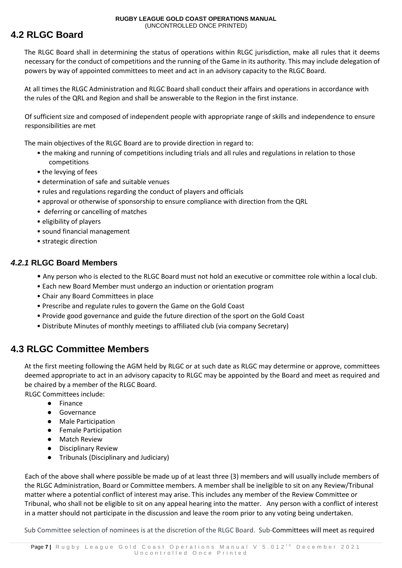## <span id="page-6-0"></span>**4.2 RLGC Board**

The RLGC Board shall in determining the status of operations within RLGC jurisdiction, make all rules that it deems necessary for the conduct of competitions and the running of the Game in its authority. This may include delegation of powers by way of appointed committees to meet and act in an advisory capacity to the RLGC Board.

At all times the RLGC Administration and RLGC Board shall conduct their affairs and operations in accordance with the rules of the QRL and Region and shall be answerable to the Region in the first instance.

Of sufficient size and composed of independent people with appropriate range of skills and independence to ensure responsibilities are met

The main objectives of the RLGC Board are to provide direction in regard to:

- the making and running of competitions including trials and all rules and regulations in relation to those competitions
- the levying of fees
- determination of safe and suitable venues
- rules and regulations regarding the conduct of players and officials
- approval or otherwise of sponsorship to ensure compliance with direction from the QRL
- deferring or cancelling of matches
- eligibility of players
- sound financial management
- strategic direction

#### <span id="page-6-1"></span>*4.2.1* **RLGC Board Members**

- Any person who is elected to the RLGC Board must not hold an executive or committee role within a local club.
- Each new Board Member must undergo an induction or orientation program
- Chair any Board Committees in place
- Prescribe and regulate rules to govern the Game on the Gold Coast
- Provide good governance and guide the future direction of the sport on the Gold Coast
- Distribute Minutes of monthly meetings to affiliated club (via company Secretary)

## <span id="page-6-2"></span>**4.3 RLGC Committee Members**

At the first meeting following the AGM held by RLGC or at such date as RLGC may determine or approve, committees deemed appropriate to act in an advisory capacity to RLGC may be appointed by the Board and meet as required and be chaired by a member of the RLGC Board.

RLGC Committees include:

- Finance
- Governance
- Male Participation
- Female Participation
- Match Review
- Disciplinary Review
- Tribunals (Disciplinary and Judiciary)

Each of the above shall where possible be made up of at least three (3) members and will usually include members of the RLGC Administration, Board or Committee members. A member shall be ineligible to sit on any Review/Tribunal matter where a potential conflict of interest may arise. This includes any member of the Review Committee or Tribunal, who shall not be eligible to sit on any appeal hearing into the matter. Any person with a conflict of interest in a matter should not participate in the discussion and leave the room prior to any voting being undertaken.

Sub Committee selection of nominees is at the discretion of the RLGC Board. Sub-Committees will meet as required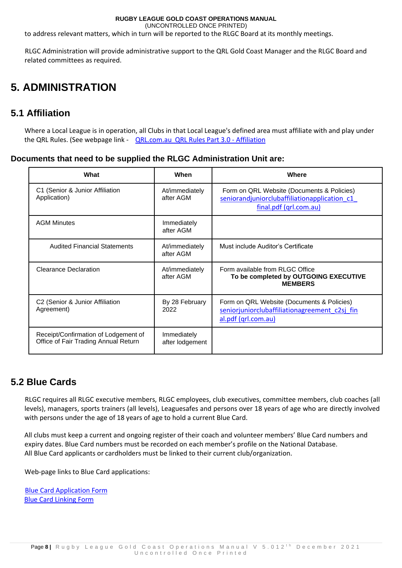(UNCONTROLLED ONCE PRINTED)

to address relevant matters, which in turn will be reported to the RLGC Board at its monthly meetings.

RLGC Administration will provide administrative support to the QRL Gold Coast Manager and the RLGC Board and related committees as required.

## <span id="page-7-0"></span>**5. ADMINISTRATION**

## <span id="page-7-1"></span>**5.1 Affiliation**

Where a Local League is in operation, all Clubs in that Local League's defined area must affiliate with and play under the QRL Rules. (See webpage link - [QRL.com.au](https://www.qrl.com.au/contentassets/1cdea4441cf344d6a5cd871fa973edab/part-3-local-leagues-revised-050618.pdf) QRL Rules Part 3.0 - Affiliation

#### <span id="page-7-2"></span>**Documents that need to be supplied the RLGC Administration Unit are:**

| What                                                                         | <b>When</b>                    | <b>Where</b>                                                                                                         |
|------------------------------------------------------------------------------|--------------------------------|----------------------------------------------------------------------------------------------------------------------|
| C1 (Senior & Junior Affiliation<br>Application)                              | At/immediately<br>after AGM    | Form on QRL Website (Documents & Policies)<br>seniorandjuniorclubaffiliationapplication c1<br>final.pdf (qrl.com.au) |
| <b>AGM Minutes</b>                                                           | Immediately<br>after AGM       |                                                                                                                      |
| <b>Audited Financial Statements</b>                                          | At/immediately<br>after AGM    | Must include Auditor's Certificate                                                                                   |
| <b>Clearance Declaration</b>                                                 | At/immediately<br>after AGM    | Form available from RLGC Office<br>To be completed by OUTGOING EXECUTIVE<br><b>MEMBERS</b>                           |
| C2 (Senior & Junior Affiliation<br>Agreement)                                | By 28 February<br>2022         | Form on QRL Website (Documents & Policies)<br>seniorjuniorclubaffiliationagreement c2sj fin<br>al.pdf (grl.com.au)   |
| Receipt/Confirmation of Lodgement of<br>Office of Fair Trading Annual Return | Immediately<br>after lodgement |                                                                                                                      |

## <span id="page-7-3"></span>**5.2 Blue Cards**

RLGC requires all RLGC executive members, RLGC employees, club executives, committee members, club coaches (all levels), managers, sports trainers (all levels), Leaguesafes and persons over 18 years of age who are directly involved with persons under the age of 18 years of age to hold a current Blue Card.

All clubs must keep a current and ongoing register of their coach and volunteer members' Blue Card numbers and expiry dates. Blue Card numbers must be recorded on each member's profile on the National Database. All Blue Card applicants or cardholders must be linked to their current club/organization.

Web-page links to Blue Card applications:

[Blue Card Application Form](https://www.qld.gov.au/law/laws-regulated-industries-and-accountability/queensland-laws-and-regulations/regulated-industries-and-licensing/blue-card/applications/apply) [Blue Card Linking Form](https://www.publications.qld.gov.au/ckan-publications-attachments-prod/resources/a40c9dc0-5737-4517-86b9-991879ffddf4/008-link-a-person-to-your-organisation.pdf?X-Amz-Algorithm=AWS4-HMAC-SHA256&X-Amz-Expires=3600&X-Amz-Date=20211101T092456Z&X-Amz-SignedHeaders=host&X-Amz-Security-Token=IQoJb3JpZ2luX2VjEGkaDmFwLXNvdXRoZWFzdC0yIkcwRQIhAPDf1Q8DucswBAodM9va5GIP4Px4dC%2F28Tw%2BlVqla4FgAiAwdLaTB0uQOXq4uAL4FBC6rwWSTO5A%2FXali8reUxSZ0SqEBAgSEAMaDDI2NTMyNjI5ODYwMiIMmumwj2QbB%2Bd9%2ByVYKuEDyTQ0Lh67QDP8ZdSfQ6f0M5S62KPD3RJUv6KUTnt7lDzpC61rSDxOfZm292tD96TazMUrRn%2FI6dlV14bHTtJQfV7E4Zccv06%2FRd03UBqqP7EspVkIJ0MqdoLKttjMmOBNvtENT2JZngekpYU1vTeSWqJhmTco5CaWDGuu9IlH3u%2FaF2RwRlobSWh0vqCf%2B%2F%2FwIxYL3%2B44eMyb9%2BYJVb3X07bKBGDg2axneCx2zJlf%2FKHG9uFo1iWZ2ci4QthFGaau4YpqTHXImp9bJsoqp99N5NTSq04GtunbccM24lAqbgbklPe6MzjPKV9QK5eIBPcZZ8GS95cLPgjHPOrD%2B5jmKbwxi6qAlLH9JAuIi7E9takMVqICNnT8v1%2B3XKCwGYh9onkglQ0onXrYhDd%2F%2FJ0vMYnBu1tA6Dp3w6r29bCLg6IbyTekX4%2FYzlIazGrt9secn00X6XD2ZU6ja%2FIKMR1lu%2BCRsRX%2Fcl0QDoBevMj3ozC7syHENsH%2BO0kO1DR1VlfLps7y2SojX60o0YaatTLqFn5DlJcR9JBTOoeQO4EiluPqeqcvOxdQOO%2FzoOYJTS5I8sDRQBNUP9TfszytWnQXkmlQQH5PJ%2FDydJOMM2DZe01g%2F%2BZ7mRDeFLkGRU2RFBVX5zCVzf6LBjqlAaSI9YNkM6lvtQ5kq5RZNI8ABEiVR%2FOo%2Bam6o6pWBvN%2Fbu%2FwonR9n8wK4%2FKljl1zVqBID00IX7%2BUeG9k7oP3SFPcdFy%2F2yw2S2sQNIseBZOYnBC0SCdN4KkpWzZDvo1%2FwtFFYnW2uRUZFSbUG53Oc47spMScNTCP1n9MsgKgA%2FXoKVYu6T9cE7CgK5Gpp0D9fBu3ezv6SxT53kNY%2FSW2fPwx7IKOqg%3D%3D&X-Amz-Credential=ASIAT3RVOAXVB3SN7POL%2F20211101%2Fap-southeast-2%2Fs3%2Faws4_request&X-Amz-Signature=546f22aabd13947f82fe527a9410d0d539772f92d33775add8068e28fb4bac2d)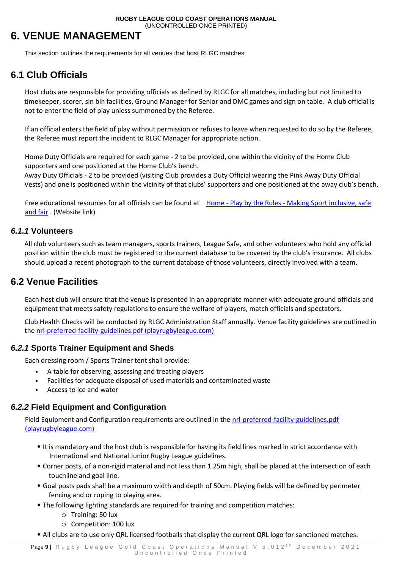## <span id="page-8-0"></span>**6. VENUE MANAGEMENT**

This section outlines the requirements for all venues that host RLGC matches

## <span id="page-8-1"></span>**6.1 Club Officials**

Host clubs are responsible for providing officials as defined by RLGC for all matches, including but not limited to timekeeper, scorer, sin bin facilities, Ground Manager for Senior and DMC games and sign on table. A club official is not to enter the field of play unless summoned by the Referee.

If an official enters the field of play without permission or refuses to leave when requested to do so by the Referee, the Referee must report the incident to RLGC Manager for appropriate action.

Home Duty Officials are required for each game - 2 to be provided, one within the vicinity of the Home Club supporters and one positioned at the Home Club's bench.

Away Duty Officials - 2 to be provided (visiting Club provides a Duty Official wearing the Pink Away Duty Official Vests) and one is positioned within the vicinity of that clubs' supporters and one positioned at the away club's bench.

Free educational resources for all officials can be found at Home - Play by the Rules - [Making Sport inclusive, safe](https://www.playbytherules.net.au/)  [and fair](https://www.playbytherules.net.au/) . (Website link)

#### <span id="page-8-2"></span>*6.1.1* **Volunteers**

All club volunteers such as team managers, sports trainers, League Safe, and other volunteers who hold any official position within the club must be registered to the current database to be covered by the club's insurance. All clubs should upload a recent photograph to the current database of those volunteers, directly involved with a team.

### <span id="page-8-3"></span>**6.2 Venue Facilities**

Each host club will ensure that the venue is presented in an appropriate manner with adequate ground officials and equipment that meets safety regulations to ensure the welfare of players, match officials and spectators.

Club Health Checks will be conducted by RLGC Administration Staff annually. Venue facility guidelines are outlined in the [nrl-preferred-facility-guidelines.pdf \(playrugbyleague.com\)](https://www.playrugbyleague.com/media/1941/nrl-preferred-facility-guidelines.pdf)

#### *6.2.1* **Sports Trainer Equipment and Sheds**

Each dressing room / Sports Trainer tent shall provide:

- A table for observing, assessing and treating players
- Facilities for adequate disposal of used materials and contaminated waste
- Access to ice and water

#### *6.2.2* **Field Equipment and Configuration**

Field Equipment and Configuration requirements are outlined in the nrl-preferred-facility-guidelines.pdf [\(playrugbyleague.com\)](https://www.playrugbyleague.com/media/1941/nrl-preferred-facility-guidelines.pdf)

- It is mandatory and the host club is responsible for having its field lines marked in strict accordance with International and National Junior Rugby League guidelines.
- Corner posts, of a non-rigid material and not less than 1.25m high, shall be placed at the intersection of each touchline and goal line.
- Goal posts pads shall be a maximum width and depth of 50cm. Playing fields will be defined by perimeter fencing and or roping to playing area.
- The following lighting standards are required for training and competition matches:
	- o Training: 50 lux
	- o Competition: 100 lux
- All clubs are to use only QRL licensed footballs that display the current QRL logo for sanctioned matches.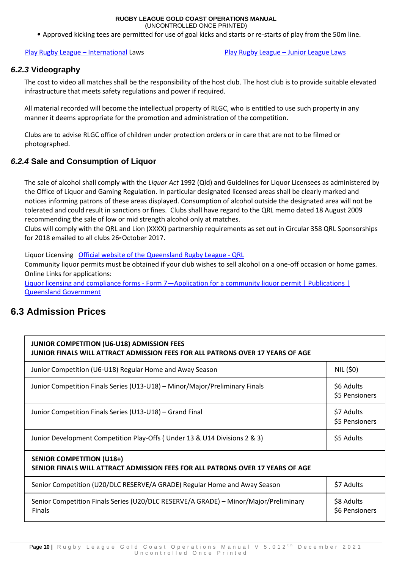(UNCONTROLLED ONCE PRINTED)

• Approved kicking tees are permitted for use of goal kicks and starts or re-starts of play from the 50m line.

[Play Rugby League](https://www.playrugbyleague.com/laws-of-the-game-community/international-13splus-laws/) – International Laws [Play Rugby League](https://www.playrugbyleague.com/laws-of-the-game-community/junior-league-laws-6-12s/) – Junior League Laws

#### *6.2.3* **Videography**

The cost to video all matches shall be the responsibility of the host club. The host club is to provide suitable elevated infrastructure that meets safety regulations and power if required.

All material recorded will become the intellectual property of RLGC, who is entitled to use such property in any manner it deems appropriate for the promotion and administration of the competition.

Clubs are to advise RLGC office of children under protection orders or in care that are not to be filmed or photographed.

#### *6.2.4* **Sale and Consumption of Liquor**

The sale of alcohol shall comply with the *Liquor Act* 1992 (Qld) and Guidelines for Liquor Licensees as administered by the Office of Liquor and Gaming Regulation. In particular designated licensed areas shall be clearly marked and notices informing patrons of these areas displayed. Consumption of alcohol outside the designated area will not be tolerated and could result in sanctions or fines. Clubs shall have regard to the QRL memo dated 18 August 2009 recommending the sale of low or mid strength alcohol only at matches.

Clubs will comply with the QRL and Lion (XXXX) partnership requirements as set out in Circular 358 QRL Sponsorships for 2018 emailed to all clubs  $26*$ October 2017.

Liquor Licensing [Official website of the Queensland Rugby League -](https://www.qrl.com.au/) QRL

Community liquor permits must be obtained if your club wishes to sell alcohol on a one-off occasion or home games. Online Links for applications:

Liquor licensing and compliance forms - Form 7-Application for a community liquor permit | Publications | [Queensland Government](https://www.publications.qld.gov.au/dataset/liquor-licensing-and-compliance-forms/resource/6f0db791-a1c8-4826-9c01-8f7b3c745d45)

## <span id="page-9-0"></span>**6.3 Admission Prices**

| <b>JUNIOR COMPETITION (U6-U18) ADMISSION FEES</b><br>JUNIOR FINALS WILL ATTRACT ADMISSION FEES FOR ALL PATRONS OVER 17 YEARS OF AGE |                              |  |
|-------------------------------------------------------------------------------------------------------------------------------------|------------------------------|--|
| Junior Competition (U6-U18) Regular Home and Away Season                                                                            | NIL (\$0)                    |  |
| Junior Competition Finals Series (U13-U18) - Minor/Major/Preliminary Finals                                                         | \$6 Adults<br>\$5 Pensioners |  |
| Junior Competition Finals Series (U13-U18) - Grand Final                                                                            | \$7 Adults<br>\$5 Pensioners |  |
| Junior Development Competition Play-Offs (Under 13 & U14 Divisions 2 & 3)                                                           | \$5 Adults                   |  |
| <b>SENIOR COMPETITION (U18+)</b><br>SENIOR FINALS WILL ATTRACT ADMISSION FEES FOR ALL PATRONS OVER 17 YEARS OF AGE                  |                              |  |
| Senior Competition (U20/DLC RESERVE/A GRADE) Regular Home and Away Season                                                           | \$7 Adults                   |  |
| Senior Competition Finals Series (U20/DLC RESERVE/A GRADE) - Minor/Major/Preliminary<br><b>Finals</b>                               | \$8 Adults<br>\$6 Pensioners |  |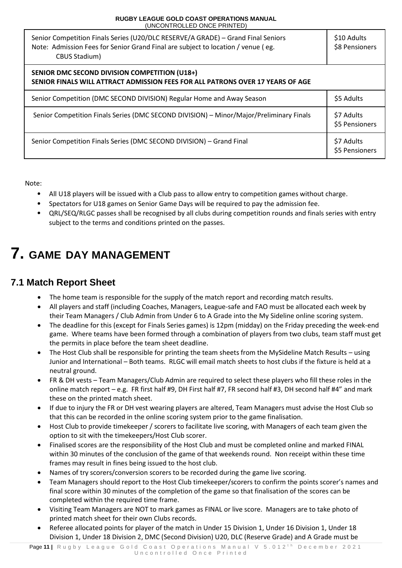| Senior Competition Finals Series (U20/DLC RESERVE/A GRADE) - Grand Final Seniors<br>Note: Admission Fees for Senior Grand Final are subject to location / venue (eg.<br><b>CBUS Stadium)</b> | \$10 Adults<br>\$8 Pensioners |
|----------------------------------------------------------------------------------------------------------------------------------------------------------------------------------------------|-------------------------------|
| <b>SENIOR DMC SECOND DIVISION COMPETITION (U18+)</b><br>SENIOR FINALS WILL ATTRACT ADMISSION FEES FOR ALL PATRONS OVER 17 YEARS OF AGE                                                       |                               |
| Senior Competition (DMC SECOND DIVISION) Regular Home and Away Season                                                                                                                        | \$5 Adults                    |
| Senior Competition Finals Series (DMC SECOND DIVISION) - Minor/Major/Preliminary Finals                                                                                                      | \$7 Adults<br>\$5 Pensioners  |
| Senior Competition Finals Series (DMC SECOND DIVISION) - Grand Final                                                                                                                         | \$7 Adults<br>\$5 Pensioners  |

Note:

- All U18 players will be issued with a Club pass to allow entry to competition games without charge.
- Spectators for U18 games on Senior Game Days will be required to pay the admission fee.
- QRL/SEQ/RLGC passes shall be recognised by all clubs during competition rounds and finals series with entry subject to the terms and conditions printed on the passes.

## <span id="page-10-0"></span>**7. GAME DAY MANAGEMENT**

## <span id="page-10-1"></span>**7.1 Match Report Sheet**

- The home team is responsible for the supply of the match report and recording match results.
- All players and staff (including Coaches, Managers, League-safe and FAO must be allocated each week by their Team Managers / Club Admin from Under 6 to A Grade into the My Sideline online scoring system.
- The deadline for this (except for Finals Series games) is 12pm (midday) on the Friday preceding the week-end game. Where teams have been formed through a combination of players from two clubs, team staff must get the permits in place before the team sheet deadline.
- The Host Club shall be responsible for printing the team sheets from the MySideline Match Results using Junior and International – Both teams. RLGC will email match sheets to host clubs if the fixture is held at a neutral ground.
- FR & DH vests Team Managers/Club Admin are required to select these players who fill these roles in the online match report – e.g. FR first half #9, DH First half #7, FR second half #3, DH second half #4" and mark these on the printed match sheet.
- If due to injury the FR or DH vest wearing players are altered, Team Managers must advise the Host Club so that this can be recorded in the online scoring system prior to the game finalisation.
- Host Club to provide timekeeper / scorers to facilitate live scoring, with Managers of each team given the option to sit with the timekeepers/Host Club scorer.
- Finalised scores are the responsibility of the Host Club and must be completed online and marked FINAL within 30 minutes of the conclusion of the game of that weekends round. Non receipt within these time frames may result in fines being issued to the host club.
- Names of try scorers/conversion scorers to be recorded during the game live scoring.
- Team Managers should report to the Host Club timekeeper/scorers to confirm the points scorer's names and final score within 30 minutes of the completion of the game so that finalisation of the scores can be completed within the required time frame.
- Visiting Team Managers are NOT to mark games as FINAL or live score. Managers are to take photo of printed match sheet for their own Clubs records.
- Referee allocated points for player of the match in Under 15 Division 1, Under 16 Division 1, Under 18 Division 1, Under 18 Division 2, DMC (Second Division) U20, DLC (Reserve Grade) and A Grade must be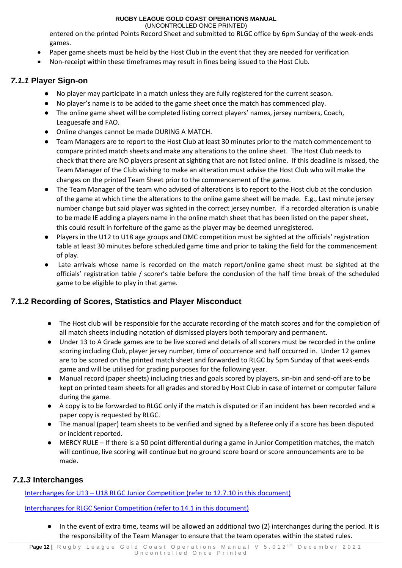(UNCONTROLLED ONCE PRINTED)

entered on the printed Points Record Sheet and submitted to RLGC office by 6pm Sunday of the week-ends games.

- Paper game sheets must be held by the Host Club in the event that they are needed for verification
- Non-receipt within these timeframes may result in fines being issued to the Host Club.

### <span id="page-11-0"></span>*7.1.1* **Player Sign-on**

- No player may participate in a match unless they are fully registered for the current season.
- No player's name is to be added to the game sheet once the match has commenced play.
- The online game sheet will be completed listing correct players' names, jersey numbers, Coach, Leaguesafe and FAO.
- Online changes cannot be made DURING A MATCH.
- Team Managers are to report to the Host Club at least 30 minutes prior to the match commencement to compare printed match sheets and make any alterations to the online sheet. The Host Club needs to check that there are NO players present at sighting that are not listed online. If this deadline is missed, the Team Manager of the Club wishing to make an alteration must advise the Host Club who will make the changes on the printed Team Sheet prior to the commencement of the game.
- The Team Manager of the team who advised of alterations is to report to the Host club at the conclusion of the game at which time the alterations to the online game sheet will be made. E.g., Last minute jersey number change but said player was sighted in the correct jersey number. If a recorded alteration is unable to be made IE adding a players name in the online match sheet that has been listed on the paper sheet, this could result in forfeiture of the game as the player may be deemed unregistered.
- Players in the U12 to U18 age groups and DMC competition must be sighted at the officials' registration table at least 30 minutes before scheduled game time and prior to taking the field for the commencement of play.
- Late arrivals whose name is recorded on the match report/online game sheet must be sighted at the officials' registration table / scorer's table before the conclusion of the half time break of the scheduled game to be eligible to play in that game.

### <span id="page-11-1"></span>**7.1.2 Recording of Scores, Statistics and Player Misconduct**

- The Host club will be responsible for the accurate recording of the match scores and for the completion of all match sheets including notation of dismissed players both temporary and permanent.
- Under 13 to A Grade games are to be live scored and details of all scorers must be recorded in the online scoring including Club, player jersey number, time of occurrence and half occurred in. Under 12 games are to be scored on the printed match sheet and forwarded to RLGC by 5pm Sunday of that week-ends game and will be utilised for grading purposes for the following year.
- Manual record (paper sheets) including tries and goals scored by players, sin-bin and send-off are to be kept on printed team sheets for all grades and stored by Host Club in case of internet or computer failure during the game.
- A copy is to be forwarded to RLGC only if the match is disputed or if an incident has been recorded and a paper copy is requested by RLGC.
- The manual (paper) team sheets to be verified and signed by a Referee only if a score has been disputed or incident reported.
- MERCY RULE If there is a 50 point differential during a game in Junior Competition matches, the match will continue, live scoring will continue but no ground score board or score announcements are to be made.

### <span id="page-11-2"></span>*7.1.3* **Interchanges**

Interchanges for U13 – U18 RLGC Junior Competition (refer to 12.7.10 in this document)

Interchanges for RLGC Senior Competition (refer to 14.1 in this document)

In the event of extra time, teams will be allowed an additional two (2) interchanges during the period. It is the responsibility of the Team Manager to ensure that the team operates within the stated rules.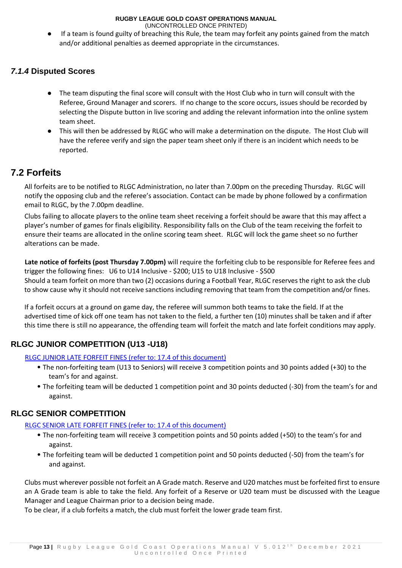(UNCONTROLLED ONCE PRINTED)

If a team is found guilty of breaching this Rule, the team may forfeit any points gained from the match and/or additional penalties as deemed appropriate in the circumstances.

### <span id="page-12-0"></span>*7.1.4* **Disputed Scores**

- The team disputing the final score will consult with the Host Club who in turn will consult with the Referee, Ground Manager and scorers. If no change to the score occurs, issues should be recorded by selecting the Dispute button in live scoring and adding the relevant information into the online system team sheet.
- This will then be addressed by RLGC who will make a determination on the dispute. The Host Club will have the referee verify and sign the paper team sheet only if there is an incident which needs to be reported.

## <span id="page-12-1"></span>**7.2 Forfeits**

All forfeits are to be notified to RLGC Administration, no later than 7.00pm on the preceding Thursday. RLGC will notify the opposing club and the referee's association. Contact can be made by phone followed by a confirmation email to RLGC, by the 7.00pm deadline.

Clubs failing to allocate players to the online team sheet receiving a forfeit should be aware that this may affect a player's number of games for finals eligibility. Responsibility falls on the Club of the team receiving the forfeit to ensure their teams are allocated in the online scoring team sheet. RLGC will lock the game sheet so no further alterations can be made.

**Late notice of forfeits (post Thursday 7.00pm)** will require the forfeiting club to be responsible for Referee fees and trigger the following fines: U6 to U14 Inclusive - \$200; U15 to U18 Inclusive - \$500 Should a team forfeit on more than two (2) occasions during a Football Year, RLGC reserves the right to ask the club to show cause why it should not receive sanctions including removing that team from the competition and/or fines.

If a forfeit occurs at a ground on game day, the referee will summon both teams to take the field. If at the advertised time of kick off one team has not taken to the field, a further ten (10) minutes shall be taken and if after this time there is still no appearance, the offending team will forfeit the match and late forfeit conditions may apply.

### <span id="page-12-2"></span>**RLGC JUNIOR COMPETITION (U13 -U18)**

#### RLGC JUNIOR LATE FORFEIT FINES (refer to: 17.4 of this document)

- The non-forfeiting team (U13 to Seniors) will receive 3 competition points and 30 points added (+30) to the team's for and against.
- The forfeiting team will be deducted 1 competition point and 30 points deducted (-30) from the team's for and against.

### **RLGC SENIOR COMPETITION**

#### RLGC SENIOR LATE FORFEIT FINES (refer to: 17.4 of this document)

- The non-forfeiting team will receive 3 competition points and 50 points added (+50) to the team's for and against.
- The forfeiting team will be deducted 1 competition point and 50 points deducted (-50) from the team's for and against.

Clubs must wherever possible not forfeit an A Grade match. Reserve and U20 matches must be forfeited first to ensure an A Grade team is able to take the field. Any forfeit of a Reserve or U20 team must be discussed with the League Manager and League Chairman prior to a decision being made.

To be clear, if a club forfeits a match, the club must forfeit the lower grade team first.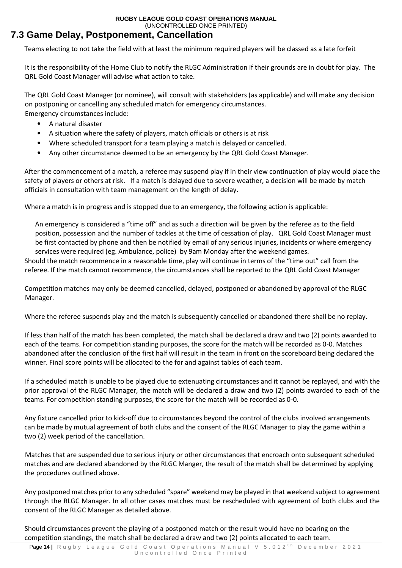## <span id="page-13-0"></span>**7.3 Game Delay, Postponement, Cancellation**

Teams electing to not take the field with at least the minimum required players will be classed as a late forfeit

It is the responsibility of the Home Club to notify the RLGC Administration if their grounds are in doubt for play. The QRL Gold Coast Manager will advise what action to take.

The QRL Gold Coast Manager (or nominee), will consult with stakeholders (as applicable) and will make any decision on postponing or cancelling any scheduled match for emergency circumstances. Emergency circumstances include:

• A natural disaster

- A situation where the safety of players, match officials or others is at risk
- Where scheduled transport for a team playing a match is delayed or cancelled.
- Any other circumstance deemed to be an emergency by the QRL Gold Coast Manager.

After the commencement of a match, a referee may suspend play if in their view continuation of play would place the safety of players or others at risk. If a match is delayed due to severe weather, a decision will be made by match officials in consultation with team management on the length of delay.

Where a match is in progress and is stopped due to an emergency, the following action is applicable:

An emergency is considered a "time off" and as such a direction will be given by the referee as to the field position, possession and the number of tackles at the time of cessation of play. QRL Gold Coast Manager must be first contacted by phone and then be notified by email of any serious injuries, incidents or where emergency services were required (eg. Ambulance, police) by 9am Monday after the weekend games.

Should the match recommence in a reasonable time, play will continue in terms of the "time out" call from the referee. If the match cannot recommence, the circumstances shall be reported to the QRL Gold Coast Manager

Competition matches may only be deemed cancelled, delayed, postponed or abandoned by approval of the RLGC Manager.

Where the referee suspends play and the match is subsequently cancelled or abandoned there shall be no replay.

If less than half of the match has been completed, the match shall be declared a draw and two (2) points awarded to each of the teams. For competition standing purposes, the score for the match will be recorded as 0-0. Matches abandoned after the conclusion of the first half will result in the team in front on the scoreboard being declared the winner. Final score points will be allocated to the for and against tables of each team.

If a scheduled match is unable to be played due to extenuating circumstances and it cannot be replayed, and with the prior approval of the RLGC Manager, the match will be declared a draw and two (2) points awarded to each of the teams. For competition standing purposes, the score for the match will be recorded as 0-0.

Any fixture cancelled prior to kick-off due to circumstances beyond the control of the clubs involved arrangements can be made by mutual agreement of both clubs and the consent of the RLGC Manager to play the game within a two (2) week period of the cancellation.

Matches that are suspended due to serious injury or other circumstances that encroach onto subsequent scheduled matches and are declared abandoned by the RLGC Manger, the result of the match shall be determined by applying the procedures outlined above.

Any postponed matches prior to any scheduled "spare" weekend may be played in that weekend subject to agreement through the RLGC Manager. In all other cases matches must be rescheduled with agreement of both clubs and the consent of the RLGC Manager as detailed above.

Should circumstances prevent the playing of a postponed match or the result would have no bearing on the competition standings, the match shall be declared a draw and two (2) points allocated to each team.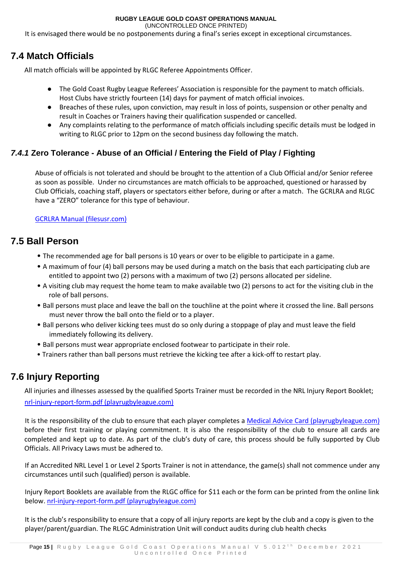(UNCONTROLLED ONCE PRINTED)

It is envisaged there would be no postponements during a final's series except in exceptional circumstances.

## <span id="page-14-0"></span>**7.4 Match Officials**

All match officials will be appointed by RLGC Referee Appointments Officer.

- The Gold Coast Rugby League Referees' Association is responsible for the payment to match officials. Host Clubs have strictly fourteen (14) days for payment of match official invoices.
- Breaches of these rules, upon conviction, may result in loss of points, suspension or other penalty and result in Coaches or Trainers having their qualification suspended or cancelled.
- Any complaints relating to the performance of match officials including specific details must be lodged in writing to RLGC prior to 12pm on the second business day following the match.

### <span id="page-14-1"></span>*7.4.1* **Zero Tolerance - Abuse of an Official / Entering the Field of Play / Fighting**

Abuse of officials is not tolerated and should be brought to the attention of a Club Official and/or Senior referee as soon as possible. Under no circumstances are match officials to be approached, questioned or harassed by Club Officials, coaching staff, players or spectators either before, during or after a match. The GCRLRA and RLGC have a "ZERO" tolerance for this type of behaviour.

[GCRLRA Manual \(filesusr.com\)](https://11ac84db-da12-4d57-bfbf-27c51ab12950.filesusr.com/ugd/3289f6_23f3e0d0846545949d0873c33d20f5ea.pdf)

## <span id="page-14-2"></span>**7.5 Ball Person**

- The recommended age for ball persons is 10 years or over to be eligible to participate in a game.
- A maximum of four (4) ball persons may be used during a match on the basis that each participating club are entitled to appoint two (2) persons with a maximum of two (2) persons allocated per sideline.
- A visiting club may request the home team to make available two (2) persons to act for the visiting club in the role of ball persons.
- Ball persons must place and leave the ball on the touchline at the point where it crossed the line. Ball persons must never throw the ball onto the field or to a player.
- Ball persons who deliver kicking tees must do so only during a stoppage of play and must leave the field immediately following its delivery.
- Ball persons must wear appropriate enclosed footwear to participate in their role.
- Trainers rather than ball persons must retrieve the kicking tee after a kick-off to restart play.

## <span id="page-14-3"></span>**7.6 Injury Reporting**

All injuries and illnesses assessed by the qualified Sports Trainer must be recorded in the NRL Injury Report Booklet; [nrl-injury-report-form.pdf \(playrugbyleague.com\)](https://www.playrugbyleague.com/media/2374/nrl-injury-report-form.pdf?_ga=2.231885914.450181541.1614732332-1381325448.1610327698)

It is the responsibility of the club to ensure that each player completes a [Medical Advice Card \(playrugbyleague.com\)](https://www.playrugbyleague.com/media/2276/medical-advice-card.pdf?_ga=2.73033046.450181541.1614732332-1381325448.1610327698) before their first training or playing commitment. It is also the responsibility of the club to ensure all cards are completed and kept up to date. As part of the club's duty of care, this process should be fully supported by Club Officials. All Privacy Laws must be adhered to.

If an Accredited NRL Level 1 or Level 2 Sports Trainer is not in attendance, the game(s) shall not commence under any circumstances until such (qualified) person is available.

Injury Report Booklets are available from the RLGC office for \$11 each or the form can be printed from the online link below[. nrl-injury-report-form.pdf \(playrugbyleague.com\)](https://www.playrugbyleague.com/media/2374/nrl-injury-report-form.pdf?_ga=2.231885914.450181541.1614732332-1381325448.1610327698)

It is the club's responsibility to ensure that a copy of all injury reports are kept by the club and a copy is given to the player/parent/guardian. The RLGC Administration Unit will conduct audits during club health checks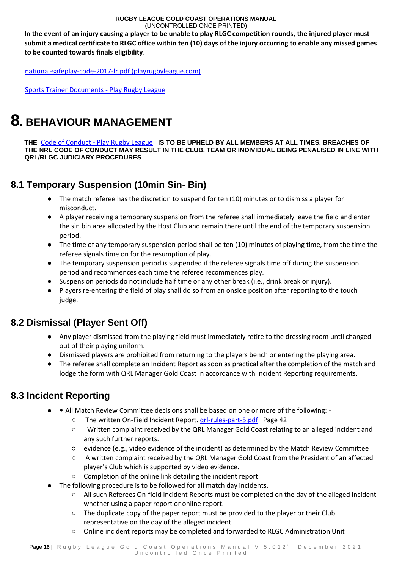**In the event of an injury causing a player to be unable to play RLGC competition rounds, the injured player must submit a medical certificate to RLGC office within ten (10) days of the injury occurring to enable any missed games to be counted towards finals eligibility**.

[national-safeplay-code-2017-lr.pdf \(playrugbyleague.com\)](https://www.playrugbyleague.com/media/2366/national-safeplay-code-2017-lr.pdf)

<span id="page-15-0"></span>[Sports Trainer Documents -](https://www.playrugbyleague.com/trainer/documents/?_ga=2.228361432.450181541.1614732332-1381325448.1610327698) Play Rugby League

## **8. BEHAVIOUR MANAGEMENT**

**THE** Code of Conduct - [Play Rugby League](https://www.playrugbyleague.com/referee/laws-of-the-game/code-of-conduct/?_ga=2.232923355.450181541.1614732332-1381325448.1610327698) **IS TO BE UPHELD BY ALL MEMBERS AT ALL TIMES. BREACHES OF THE NRL CODE OF CONDUCT MAY RESULT IN THE CLUB, TEAM OR INDIVIDUAL BEING PENALISED IN LINE WITH QRL/RLGC JUDICIARY PROCEDURES** 

## <span id="page-15-1"></span>**8.1 Temporary Suspension (10min Sin- Bin)**

- The match referee has the discretion to suspend for ten (10) minutes or to dismiss a player for misconduct.
- A player receiving a temporary suspension from the referee shall immediately leave the field and enter the sin bin area allocated by the Host Club and remain there until the end of the temporary suspension period.
- The time of any temporary suspension period shall be ten (10) minutes of playing time, from the time the referee signals time on for the resumption of play.
- The temporary suspension period is suspended if the referee signals time off during the suspension period and recommences each time the referee recommences play.
- Suspension periods do not include half time or any other break (i.e., drink break or injury).
- Players re-entering the field of play shall do so from an onside position after reporting to the touch judge.

## <span id="page-15-2"></span>**8.2 Dismissal (Player Sent Off)**

- Any player dismissed from the playing field must immediately retire to the dressing room until changed out of their playing uniform.
- Dismissed players are prohibited from returning to the players bench or entering the playing area.
- The referee shall complete an Incident Report as soon as practical after the completion of the match and lodge the form with QRL Manager Gold Coast in accordance with Incident Reporting requirements.

## <span id="page-15-3"></span>**8.3 Incident Reporting**

- • All Match Review Committee decisions shall be based on one or more of the following:
	- The written On-Field Incident Report. [qrl-rules-part-5.pdf](https://www.qrl.com.au/contentassets/5082282f19124e0cab5852f0b1815557/qrl-rules-part-5.pdf) Page 42
	- Written complaint received by the QRL Manager Gold Coast relating to an alleged incident and any such further reports.
	- evidence (e.g., video evidence of the incident) as determined by the Match Review Committee
	- A written complaint received by the QRL Manager Gold Coast from the President of an affected player's Club which is supported by video evidence.
	- Completion of the online link detailing the incident report.
- The following procedure is to be followed for all match day incidents.
	- All such Referees On-field Incident Reports must be completed on the day of the alleged incident whether using a paper report or online report.
	- $\circ$  The duplicate copy of the paper report must be provided to the player or their Club representative on the day of the alleged incident.
	- Online incident reports may be completed and forwarded to RLGC Administration Unit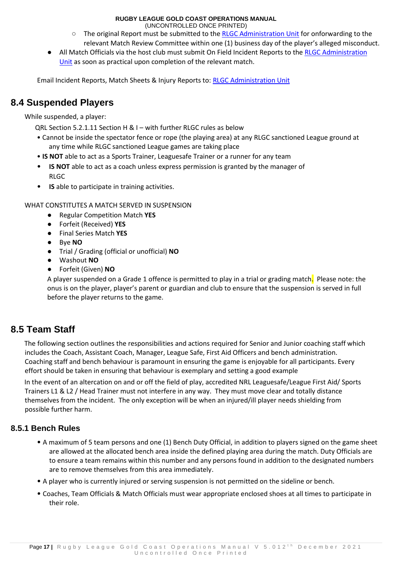(UNCONTROLLED ONCE PRINTED)

- The original Report must be submitted to the RLGC Administration Unit for onforwarding to the relevant Match Review Committee within one (1) business day of the player's alleged misconduct.
- All Match Officials via the host club must submit On Field Incident Reports to the RLGC Administration Unit as soon as practical upon completion of the relevant match.

Email Incident Reports, Match Sheets & Injury Reports to: RLGC Administration Unit

## <span id="page-16-0"></span>**8.4 Suspended Players**

While suspended, a player:

QRL Section 5.2.1.11 Section H & I – with further RLGC rules as below

- Cannot be inside the spectator fence or rope (the playing area) at any RLGC sanctioned League ground at any time while RLGC sanctioned League games are taking place
- **IS NOT** able to act as a Sports Trainer, Leaguesafe Trainer or a runner for any team
- **IS NOT** able to act as a coach unless express permission is granted by the manager of RLGC
- **IS** able to participate in training activities.

WHAT CONSTITUTES A MATCH SERVED IN SUSPENSION

- Regular Competition Match **YES**
- Forfeit (Received) **YES**
- Final Series Match **YES**
- Bye **NO**
- Trial / Grading (official or unofficial) **NO**
- Washout **NO**
- Forfeit (Given) **NO**

A player suspended on a Grade 1 offence is permitted to play in a trial or grading match. Please note: the onus is on the player, player's parent or guardian and club to ensure that the suspension is served in full before the player returns to the game.

## <span id="page-16-1"></span>**8.5 Team Staff**

The following section outlines the responsibilities and actions required for Senior and Junior coaching staff which includes the Coach, Assistant Coach, Manager, League Safe, First Aid Officers and bench administration. Coaching staff and bench behaviour is paramount in ensuring the game is enjoyable for all participants. Every effort should be taken in ensuring that behaviour is exemplary and setting a good example

In the event of an altercation on and or off the field of play, accredited NRL Leaguesafe/League First Aid/ Sports Trainers L1 & L2 / Head Trainer must not interfere in any way. They must move clear and totally distance themselves from the incident. The only exception will be when an injured/ill player needs shielding from possible further harm.

### <span id="page-16-2"></span>**8.5.1 Bench Rules**

- A maximum of 5 team persons and one (1) Bench Duty Official, in addition to players signed on the game sheet are allowed at the allocated bench area inside the defined playing area during the match. Duty Officials are to ensure a team remains within this number and any persons found in addition to the designated numbers are to remove themselves from this area immediately.
- A player who is currently injured or serving suspension is not permitted on the sideline or bench.
- Coaches, Team Officials & Match Officials must wear appropriate enclosed shoes at all times to participate in their role.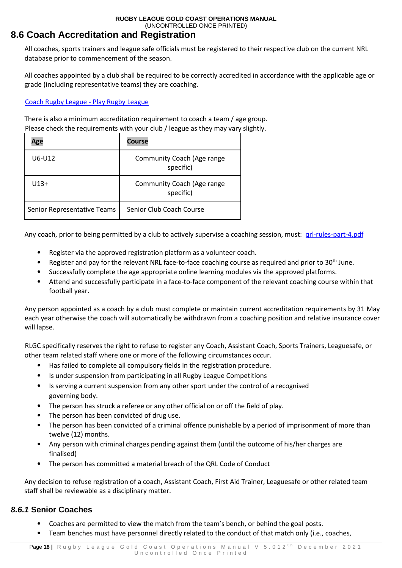## <span id="page-17-0"></span>**8.6 Coach Accreditation and Registration**

All coaches, sports trainers and league safe officials must be registered to their respective club on the current NRL database prior to commencement of the season.

All coaches appointed by a club shall be required to be correctly accredited in accordance with the applicable age or grade (including representative teams) they are coaching.

#### [Coach Rugby League -](https://www.playrugbyleague.com/coach?_ga=2.6054774.450181541.1614732332-1381325448.1610327698) Play Rugby League

There is also a minimum accreditation requirement to coach a team / age group. Please check the requirements with your club / league as they may vary slightly.

| Age                         | <b>Course</b>                           |
|-----------------------------|-----------------------------------------|
| U6-U12                      | Community Coach (Age range<br>specific) |
| $U13+$                      | Community Coach (Age range<br>specific) |
| Senior Representative Teams | Senior Club Coach Course                |

Any coach, prior to being permitted by a club to actively supervise a coaching session, must: [qrl-rules-part-4.pdf](https://www.qrl.com.au/contentassets/fe165f50b22a4557bddabb6ca8e9d0a2/qrl-rules-part-4.pdf)

- Register via the approved registration platform as a volunteer coach.
- Register and pay for the relevant NRL face-to-face coaching course as required and prior to 30<sup>th</sup> June.
- Successfully complete the age appropriate online learning modules via the approved platforms.
- Attend and successfully participate in a face-to-face component of the relevant coaching course within that football year.

Any person appointed as a coach by a club must complete or maintain current accreditation requirements by 31 May each year otherwise the coach will automatically be withdrawn from a coaching position and relative insurance cover will lapse.

RLGC specifically reserves the right to refuse to register any Coach, Assistant Coach, Sports Trainers, Leaguesafe, or other team related staff where one or more of the following circumstances occur.

- Has failed to complete all compulsory fields in the registration procedure.
- Is under suspension from participating in all Rugby League Competitions
- Is serving a current suspension from any other sport under the control of a recognised governing body.
- The person has struck a referee or any other official on or off the field of play.
- The person has been convicted of drug use.
- The person has been convicted of a criminal offence punishable by a period of imprisonment of more than twelve (12) months.
- Any person with criminal charges pending against them (until the outcome of his/her charges are finalised)
- The person has committed a material breach of the QRL Code of Conduct

Any decision to refuse registration of a coach, Assistant Coach, First Aid Trainer, Leaguesafe or other related team staff shall be reviewable as a disciplinary matter.

#### <span id="page-17-1"></span>*8.6.1* **Senior Coaches**

- Coaches are permitted to view the match from the team's bench, or behind the goal posts.
- Team benches must have personnel directly related to the conduct of that match only (i.e., coaches,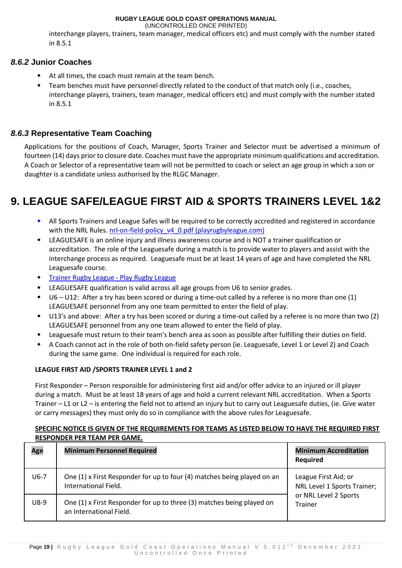(UNCONTROLLED ONCE PRINTED)

interchange players, trainers, team manager, medical officers etc) and must comply with the number stated in 8.5.1

#### <span id="page-18-0"></span>*8.6.2* **Junior Coaches**

- At all times, the coach must remain at the team bench.
- Team benches must have personnel directly related to the conduct of that match only (i.e., coaches, interchange players, trainers, team manager, medical officers etc) and must comply with the number stated in 8.5.1

### <span id="page-18-1"></span>*8.6.3* **Representative Team Coaching**

Applications for the positions of Coach, Manager, Sports Trainer and Selector must be advertised a minimum of fourteen (14) days prior to closure date. Coaches must have the appropriate minimum qualifications and accreditation. A Coach or Selector of a representative team will not be permitted to coach or select an age group in which a son or daughter is a candidate unless authorised by the RLGC Manager.

## <span id="page-18-2"></span>**9. LEAGUE SAFE/LEAGUE FIRST AID & SPORTS TRAINERS LEVEL 1&2**

- All Sports Trainers and League Safes will be required to be correctly accredited and registered in accordance with the NRL Rules. [nrl-on-field-policy\\_v4\\_0.pdf \(playrugbyleague.com\)](https://www.playrugbyleague.com/media/4916/nrl-on-field-policy_v4_0.pdf?_ga=2.266477771.450181541.1614732332-1381325448.1610327698)
- LEAGUESAFE is an online injury and illness awareness course and is NOT a trainer qualification or accreditation. The role of the Leaguesafe during a match is to provide water to players and assist with the interchange process as required. Leaguesafe must be at least 14 years of age and have completed the NRL Leaguesafe course.
- [Trainer Rugby League -](https://www.playrugbyleague.com/trainer) Play Rugby League
- LEAGUESAFE qualification is valid across all age groups from U6 to senior grades.
- U6 U12: After a try has been scored or during a time-out called by a referee is no more than one (1) LEAGUESAFE personnel from any one team permitted to enter the field of play.
- U13's and above: After a try has been scored or during a time-out called by a referee is no more than two (2) LEAGUESAFE personnel from any one team allowed to enter the field of play.
- Leaguesafe must return to their team's bench area as soon as possible after fulfilling their duties on field.
- A Coach cannot act in the role of both on-field safety person (ie. Leaguesafe, Level 1 or Level 2) and Coach during the same game. One individual is required for each role.

#### **LEAGUE FIRST AID /SPORTS TRAINER LEVEL 1 and 2**

First Responder – Person responsible for administering first aid and/or offer advice to an injured or ill player during a match. Must be at least 18 years of age and hold a current relevant NRL accreditation. When a Sports Trainer – L1 or L2 – is entering the field not to attend an injury but to carry out Leaguesafe duties, (ie. Give water or carry messages) they must only do so in compliance with the above rules for Leaguesafe.

#### **SPECIFIC NOTICE IS GIVEN OF THE REQUIREMENTS FOR TEAMS AS LISTED BELOW TO HAVE THE REQUIRED FIRST RESPONDER PER TEAM PER GAME.**

| Age    | <b>Minimum Personnel Required</b>                                                                | <b>Minimum Accreditation</b><br><b>Required</b>                                         |
|--------|--------------------------------------------------------------------------------------------------|-----------------------------------------------------------------------------------------|
| $U6-7$ | One (1) x First Responder for up to four (4) matches being played on an<br>International Field.  | League First Aid; or<br>NRL Level 1 Sports Trainer;<br>or NRL Level 2 Sports<br>Trainer |
| $U8-9$ | One (1) x First Responder for up to three (3) matches being played on<br>an International Field. |                                                                                         |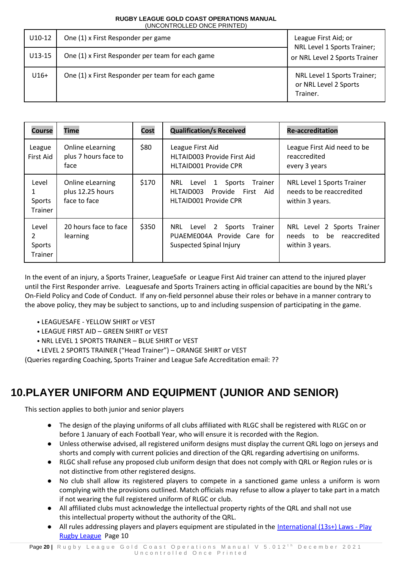| $U10-12$ | One (1) x First Responder per game               | League First Aid; or<br>NRL Level 1 Sports Trainer;              |
|----------|--------------------------------------------------|------------------------------------------------------------------|
| $U13-15$ | One (1) x First Responder per team for each game | or NRL Level 2 Sports Trainer                                    |
| $U16+$   | One (1) x First Responder per team for each game | NRL Level 1 Sports Trainer;<br>or NRL Level 2 Sports<br>Trainer. |

| <b>Course</b>                     | <b>Time</b>                                          | Cost  | <b>Qualification/s Received</b>                                                                                           | <b>Re-accreditation</b>                                                         |
|-----------------------------------|------------------------------------------------------|-------|---------------------------------------------------------------------------------------------------------------------------|---------------------------------------------------------------------------------|
| League<br><b>First Aid</b>        | Online eLearning<br>plus 7 hours face to<br>face     | \$80  | League First Aid<br><b>HLTAID003 Provide First Aid</b><br><b>HLTAID001 Provide CPR</b>                                    | League First Aid need to be<br>reaccredited<br>every 3 years                    |
| Level<br>Sports<br><b>Trainer</b> | Online eLearning<br>plus 12.25 hours<br>face to face | \$170 | Sports<br>NRL<br>Level<br>Trainer<br>$\mathbf{1}$<br>Provide<br>HLTAID003<br>First<br>Aid<br><b>HLTAID001 Provide CPR</b> | NRL Level 1 Sports Trainer<br>needs to be reaccredited<br>within 3 years.       |
| Level<br>2<br>Sports<br>Trainer   | 20 hours face to face<br>learning                    | \$350 | Sports<br>NRL<br>Level<br>Trainer<br>2<br>PUAEME004A Provide Care for<br><b>Suspected Spinal Injury</b>                   | NRL Level 2 Sports Trainer<br>be<br>reaccredited<br>needs to<br>within 3 years. |

In the event of an injury, a Sports Trainer, LeagueSafe or League First Aid trainer can attend to the injured player until the First Responder arrive. Leaguesafe and Sports Trainers acting in official capacities are bound by the NRL's On-Field Policy and Code of Conduct. If any on-field personnel abuse their roles or behave in a manner contrary to the above policy, they may be subject to sanctions, up to and including suspension of participating in the game.

- LEAGUESAFE YELLOW SHIRT or VEST
- LEAGUE FIRST AID GREEN SHIRT or VEST
- NRL LEVEL 1 SPORTS TRAINER BLUE SHIRT or VEST
- LEVEL 2 SPORTS TRAINER ("Head Trainer") ORANGE SHIRT or VEST

(Queries regarding Coaching, Sports Trainer and League Safe Accreditation email: ??

## <span id="page-19-0"></span>**10.PLAYER UNIFORM AND EQUIPMENT (JUNIOR AND SENIOR)**

This section applies to both junior and senior players

- The design of the playing uniforms of all clubs affiliated with RLGC shall be registered with RLGC on or before 1 January of each Football Year, who will ensure it is recorded with the Region.
- Unless otherwise advised, all registered uniform designs must display the current QRL logo on jerseys and shorts and comply with current policies and direction of the QRL regarding advertising on uniforms.
- RLGC shall refuse any proposed club uniform design that does not comply with QRL or Region rules or is not distinctive from other registered designs.
- No club shall allow its registered players to compete in a sanctioned game unless a uniform is worn complying with the provisions outlined. Match officials may refuse to allow a player to take part in a match if not wearing the full registered uniform of RLGC or club.
- All affiliated clubs must acknowledge the intellectual property rights of the QRL and shall not use this intellectual property without the authority of the QRL.
- All rules addressing players and players equipment are stipulated in the [International \(13s+\) Laws -](https://www.playrugbyleague.com/referee/laws-of-the-game/international-13splus-laws/) Play [Rugby League](https://www.playrugbyleague.com/referee/laws-of-the-game/international-13splus-laws/) Page 10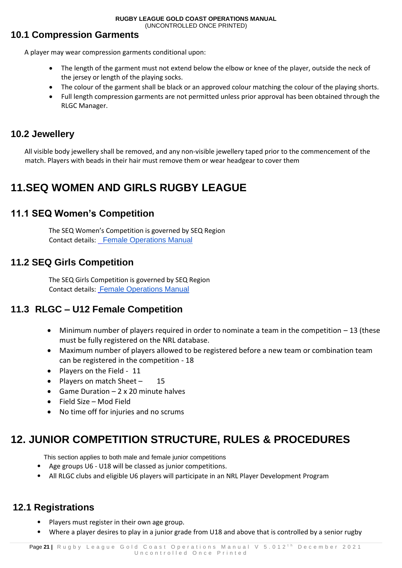## <span id="page-20-0"></span>**10.1 Compression Garments**

A player may wear compression garments conditional upon:

- The length of the garment must not extend below the elbow or knee of the player, outside the neck of the jersey or length of the playing socks.
- The colour of the garment shall be black or an approved colour matching the colour of the playing shorts.
- Full length compression garments are not permitted unless prior approval has been obtained through the RLGC Manager.

## <span id="page-20-1"></span>**10.2 Jewellery**

All visible body jewellery shall be removed, and any non-visible jewellery taped prior to the commencement of the match. Players with beads in their hair must remove them or wear headgear to cover them

## <span id="page-20-2"></span>**11.SEQ WOMEN AND GIRLS RUGBY LEAGUE**

## <span id="page-20-3"></span>**11.1 SEQ Women's Competition**

The SEQ Women's Competition is governed by SEQ Region Contact details: [Female Operations Manual](https://33c3eec4-63f5-43c5-97cc-3b3e127df333.filesusr.com/ugd/6415ec_f1986a19753a41b89c5afe6a0f0550a2.pdf)

## <span id="page-20-4"></span>**11.2 SEQ Girls Competition**

The SEQ Girls Competition is governed by SEQ Region Contact details: [Female Operations Manual](https://33c3eec4-63f5-43c5-97cc-3b3e127df333.filesusr.com/ugd/6415ec_f1986a19753a41b89c5afe6a0f0550a2.pdf)

## **11.3 RLGC – U12 Female Competition**

- Minimum number of players required in order to nominate a team in the competition 13 (these must be fully registered on the NRL database.
- Maximum number of players allowed to be registered before a new team or combination team can be registered in the competition - 18
- Players on the Field 11
- Players on match Sheet 15
- Game Duration 2 x 20 minute halves
- Field Size Mod Field
- No time off for injuries and no scrums

## <span id="page-20-5"></span>**12. JUNIOR COMPETITION STRUCTURE, RULES & PROCEDURES**

This section applies to both male and female junior competitions

- Age groups U6 U18 will be classed as junior competitions.
- All RLGC clubs and eligible U6 players will participate in an NRL Player Development Program

## <span id="page-20-6"></span>**12.1 Registrations**

- Players must register in their own age group.
- Where a player desires to play in a junior grade from U18 and above that is controlled by a senior rugby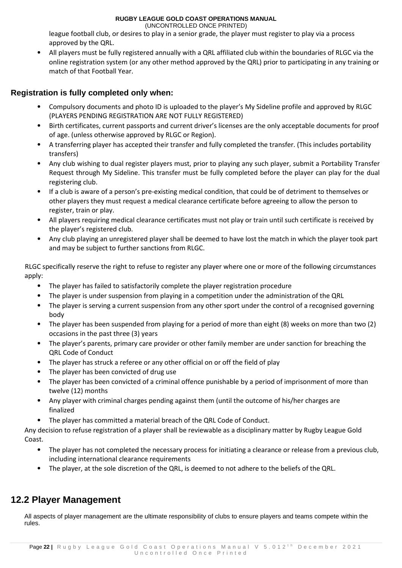(UNCONTROLLED ONCE PRINTED)

league football club, or desires to play in a senior grade, the player must register to play via a process approved by the QRL.

• All players must be fully registered annually with a QRL affiliated club within the boundaries of RLGC via the online registration system (or any other method approved by the QRL) prior to participating in any training or match of that Football Year.

#### <span id="page-21-0"></span>**Registration is fully completed only when:**

- Compulsory documents and photo ID is uploaded to the player's My Sideline profile and approved by RLGC (PLAYERS PENDING REGISTRATION ARE NOT FULLY REGISTERED)
- Birth certificates, current passports and current driver's licenses are the only acceptable documents for proof of age. (unless otherwise approved by RLGC or Region).
- A transferring player has accepted their transfer and fully completed the transfer. (This includes portability transfers)
- Any club wishing to dual register players must, prior to playing any such player, submit a Portability Transfer Request through My Sideline. This transfer must be fully completed before the player can play for the dual registering club.
- If a club is aware of a person's pre-existing medical condition, that could be of detriment to themselves or other players they must request a medical clearance certificate before agreeing to allow the person to register, train or play.
- All players requiring medical clearance certificates must not play or train until such certificate is received by the player's registered club.
- Any club playing an unregistered player shall be deemed to have lost the match in which the player took part and may be subject to further sanctions from RLGC.

RLGC specifically reserve the right to refuse to register any player where one or more of the following circumstances apply:

- The player has failed to satisfactorily complete the player registration procedure
- The player is under suspension from playing in a competition under the administration of the QRL
- The player is serving a current suspension from any other sport under the control of a recognised governing body
- The player has been suspended from playing for a period of more than eight (8) weeks on more than two (2) occasions in the past three (3) years
- The player's parents, primary care provider or other family member are under sanction for breaching the QRL Code of Conduct
- The player has struck a referee or any other official on or off the field of play
- The player has been convicted of drug use
- The player has been convicted of a criminal offence punishable by a period of imprisonment of more than twelve (12) months
- Any player with criminal charges pending against them (until the outcome of his/her charges are finalized
- The player has committed a material breach of the QRL Code of Conduct.

Any decision to refuse registration of a player shall be reviewable as a disciplinary matter by Rugby League Gold Coast.

- The player has not completed the necessary process for initiating a clearance or release from a previous club, including international clearance requirements
- The player, at the sole discretion of the QRL, is deemed to not adhere to the beliefs of the QRL.

## <span id="page-21-1"></span>**12.2 Player Management**

All aspects of player management are the ultimate responsibility of clubs to ensure players and teams compete within the rules.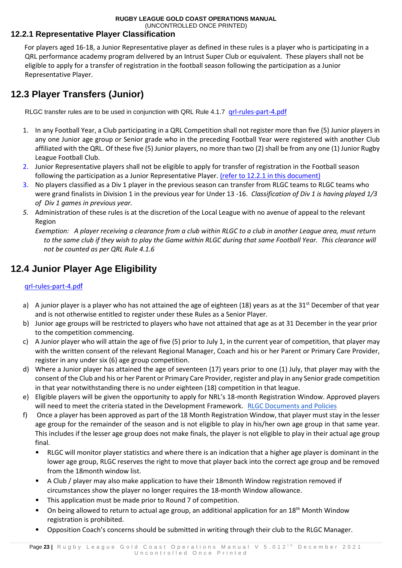### <span id="page-22-0"></span>**12.2.1 Representative Player Classification**

For players aged 16-18, a Junior Representative player as defined in these rules is a player who is participating in a QRL performance academy program delivered by an Intrust Super Club or equivalent. These players shall not be eligible to apply for a transfer of registration in the football season following the participation as a Junior Representative Player.

## <span id="page-22-1"></span>**12.3 Player Transfers (Junior)**

RLGC transfer rules are to be used in conjunction with QRL Rule 4.1.7 grl-rules-part-4.pdf

- 1. In any Football Year, a Club participating in a QRL Competition shall not register more than five (5) Junior players in any one Junior age group or Senior grade who in the preceding Football Year were registered with another Club affiliated with the QRL. Of these five (5) Junior players, no more than two (2) shall be from any one (1) Junior Rugby League Football Club.
- 2. Junior Representative players shall not be eligible to apply for transfer of registration in the Football season following the participation as a Junior Representative Player. (refer to 12.2.1 in this document)
- 3. No players classified as a Div 1 player in the previous season can transfer from RLGC teams to RLGC teams who were grand finalists in Division 1 in the previous year for Under 13 -16. *Classification of Div 1 is having played 1/3 of Div 1 games in previous year.*
- *5.* Administration of these rules is at the discretion of the Local League with no avenue of appeal to the relevant Region

*Exemption: A player receiving a clearance from a club within RLGC to a club in another League area, must return to the same club if they wish to play the Game within RLGC during that same Football Year. This clearance will not be counted as per QRL Rule 4.1.6* 

## <span id="page-22-2"></span>**12.4 Junior Player Age Eligibility**

#### [qrl-rules-part-4.pd](https://www.qrl.com.au/contentassets/fe165f50b22a4557bddabb6ca8e9d0a2/qrl-rules-part-4.pdf)[f](https://www.qrl.com.au/contentassets/fe165f50b22a4557bddabb6ca8e9d0a2/qrl-rules-part-4.pdf)

- a) A junior player is a player who has not attained the age of eighteen (18) years as at the 31<sup>st</sup> December of that year and is not otherwise entitled to register under these Rules as a Senior Player.
- b) Junior age groups will be restricted to players who have not attained that age as at 31 December in the year prior to the competition commencing.
- c) A Junior player who will attain the age of five (5) prior to July 1, in the current year of competition, that player may with the written consent of the relevant Regional Manager, Coach and his or her Parent or Primary Care Provider, register in any under six (6) age group competition.
- d) Where a Junior player has attained the age of seventeen (17) years prior to one (1) July, that player may with the consent of the Club and his or her Parent or Primary Care Provider, register and play in any Senior grade competition in that year notwithstanding there is no under eighteen (18) competition in that league.
- e) Eligible players will be given the opportunity to apply for NRL's 18-month Registration Window. Approved players will need to meet the criteria stated in the Development Framework. [RLGC Documents and Policies](https://www.rlgc.com.au/documents-and-policies)
- f) Once a player has been approved as part of the 18 Month Registration Window, that player must stay in the lesser age group for the remainder of the season and is not eligible to play in his/her own age group in that same year. This includes if the lesser age group does not make finals, the player is not eligible to play in their actual age group final.
	- RLGC will monitor player statistics and where there is an indication that a higher age player is dominant in the lower age group, RLGC reserves the right to move that player back into the correct age group and be removed from the 18month window list.
	- A Club / player may also make application to have their 18month Window registration removed if circumstances show the player no longer requires the 18-month Window allowance.
	- This application must be made prior to Round 7 of competition.
	- On being allowed to return to actual age group, an additional application for an 18<sup>th</sup> Month Window registration is prohibited.
	- Opposition Coach's concerns should be submitted in writing through their club to the RLGC Manager.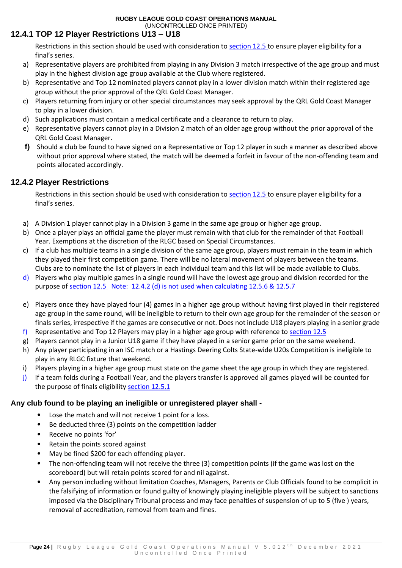### **12.4.1 TOP 12 Player Restrictions U13 – U18**

Restrictions in this section should be used with consideration to section 12.5 to ensure player eligibility for a final's series.

- a) Representative players are prohibited from playing in any Division 3 match irrespective of the age group and must play in the highest division age group available at the Club where registered.
- b) Representative and Top 12 nominated players cannot play in a lower division match within their registered age group without the prior approval of the QRL Gold Coast Manager.
- c) Players returning from injury or other special circumstances may seek approval by the QRL Gold Coast Manager to play in a lower division.
- d) Such applications must contain a medical certificate and a clearance to return to play.
- e) Representative players cannot play in a Division 2 match of an older age group without the prior approval of the QRL Gold Coast Manager.
- **f)** Should a club be found to have signed on a Representative or Top 12 player in such a manner as described above without prior approval where stated, the match will be deemed a forfeit in favour of the non-offending team and points allocated accordingly.

#### **12.4.2 Player Restrictions**

Restrictions in this section should be used with consideration to [section 12.5](#page-24-0) to ensure player eligibility for a final's series.

- a) A Division 1 player cannot play in a Division 3 game in the same age group or higher age group.
- b) Once a player plays an official game the player must remain with that club for the remainder of that Football Year. Exemptions at the discretion of the RLGC based on Special Circumstances.
- c) If a club has multiple teams in a single division of the same age group, players must remain in the team in which they played their first competition game. There will be no lateral movement of players between the teams. Clubs are to nominate the list of players in each individual team and this list will be made available to Clubs.
- d) Players who play multiple games in a single round will have the lowest age group and division recorded for the purpose of [section 12.5](#page-24-0) Note: 12.4.2 (d) is not used when calculating 12.5.6 & 12.5.7
- e) Players once they have played four (4) games in a higher age group without having first played in their registered age group in the same round, will be ineligible to return to their own age group for the remainder of the season or finals series, irrespective if the games are consecutive or not. Does not include U18 players playing in a senior grade
- f) Representative and Top 12 Players may play in a higher age group with reference to section 12.5
- g) Players cannot play in a Junior U18 game if they have played in a senior game prior on the same weekend.
- h) Any player participating in an ISC match or a Hastings Deering Colts State-wide U20s Competition is ineligible to play in any RLGC fixture that weekend.
- i) Players playing in a higher age group must state on the game sheet the age group in which they are registered.
- j) If a team folds during a Football Year, and the players transfer is approved all games played will be counted for the purpose of finals eligibility section 12.5.1

#### **Any club found to be playing an ineligible or unregistered player shall -**

- Lose the match and will not receive 1 point for a loss.
- Be deducted three (3) points on the competition ladder
- Receive no points 'for'
- Retain the points scored against
- May be fined \$200 for each offending player.
- The non-offending team will not receive the three (3) competition points (if the game was lost on the scoreboard) but will retain points scored for and nil against.
- Any person including without limitation Coaches, Managers, Parents or Club Officials found to be complicit in the falsifying of information or found guilty of knowingly playing ineligible players will be subject to sanctions imposed via the Disciplinary Tribunal process and may face penalties of suspension of up to 5 (five ) years, removal of accreditation, removal from team and fines.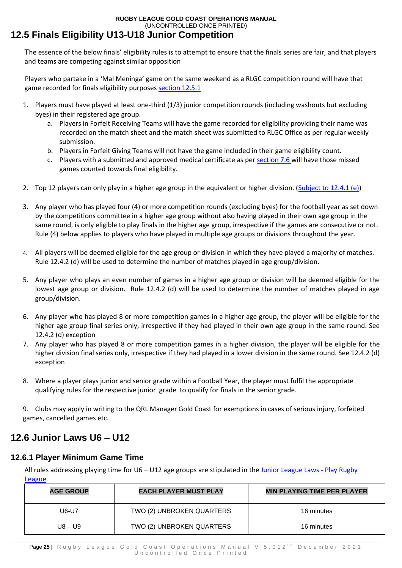## <span id="page-24-0"></span>**12.5 Finals Eligibility U13-U18 Junior Competition**

The essence of the below finals' eligibility rules is to attempt to ensure that the finals series are fair, and that players and teams are competing against similar opposition

Players who partake in a 'Mal Meninga' game on the same weekend as a RLGC competition round will have that game recorded for finals eligibility purposes section 12.5.1

- 1. Players must have played at least one-third (1/3) junior competition rounds (including washouts but excluding byes) in their registered age group.
	- a. Players in Forfeit Receiving Teams will have the game recorded for eligibility providing their name was recorded on the match sheet and the match sheet was submitted to RLGC Office as per regular weekly submission.
	- b. Players in Forfeit Giving Teams will not have the game included in their game eligibility count.
	- c. Players with a submitted and approved medical certificate as per section 7.6 will have those missed games counted towards final eligibility.
- 2. Top 12 players can only play in a higher age group in the equivalent or higher division. (Subject to 12.4.1 (e))
- 3. Any player who has played four (4) or more competition rounds (excluding byes) for the football year as set down by the competitions committee in a higher age group without also having played in their own age group in the same round, is only eligible to play finals in the higher age group, irrespective if the games are consecutive or not. Rule (4) below applies to players who have played in multiple age groups or divisions throughout the year.
- 4. All players will be deemed eligible for the age group or division in which they have played a majority of matches. Rule 12.4.2 (d) will be used to determine the number of matches played in age group/division.
- 5. Any player who plays an even number of games in a higher age group or division will be deemed eligible for the lowest age group or division. Rule 12.4.2 (d) will be used to determine the number of matches played in age group/division.
- 6. Any player who has played 8 or more competition games in a higher age group, the player will be eligible for the higher age group final series only, irrespective if they had played in their own age group in the same round. See 12.4.2 (d) exception
- 7. Any player who has played 8 or more competition games in a higher division, the player will be eligible for the higher division final series only, irrespective if they had played in a lower division in the same round. See 12.4.2 (d) exception
- 8. Where a player plays junior and senior grade within a Football Year, the player must fulfil the appropriate qualifying rules for the respective junior grade to qualify for finals in the senior grade.

9. Clubs may apply in writing to the QRL Manager Gold Coast for exemptions in cases of serious injury, forfeited games, cancelled games etc.

## <span id="page-24-1"></span>**12.6 Junior Laws U6 – U12**

### **12.6.1 Player Minimum Game Time**

All rules addressing playing time for U6 – U12 age groups are stipulated in the [Junior League Laws -](https://www.playrugbyleague.com/referee/laws-of-the-game/junior-league-laws-6-12s/) Play Rugby **[League](https://www.playrugbyleague.com/referee/laws-of-the-game/junior-league-laws-6-12s/)** 

| <b>AGE GROUP</b> | <b>EACH PLAYER MUST PLAY</b> | <b>MIN PLAYING TIME PER PLAYER</b> |
|------------------|------------------------------|------------------------------------|
| U6-U7            | TWO (2) UNBROKEN QUARTERS    | 16 minutes                         |
| $118 - 119$      | TWO (2) UNBROKEN QUARTERS    | 16 minutes                         |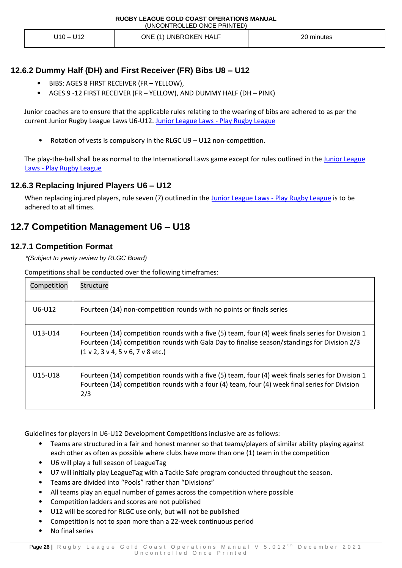| U12<br>' – 10ل | ONE (1) UNBROKEN HALF | 20 minutes |
|----------------|-----------------------|------------|
|----------------|-----------------------|------------|

#### **12.6.2 Dummy Half (DH) and First Receiver (FR) Bibs U8 – U12**

- BIBS: AGES 8 FIRST RECEIVER (FR YELLOW),
- AGES 9 -12 FIRST RECEIVER (FR YELLOW), AND DUMMY HALF (DH PINK)

Junior coaches are to ensure that the applicable rules relating to the wearing of bibs are adhered to as per the current Junior Rugby League Laws U6-U12. [Junior League Laws -](https://www.playrugbyleague.com/referee/laws-of-the-game/junior-league-laws-6-12s/) Play Rugby League

• Rotation of vests is compulsory in the RLGC U9 – U12 non-competition.

The play-the-ball shall be as normal to the International Laws game except for rules outlined in the [Junior League](https://www.playrugbyleague.com/referee/laws-of-the-game/junior-league-laws-6-12s/)  Laws - [Play Rugby League](https://www.playrugbyleague.com/referee/laws-of-the-game/junior-league-laws-6-12s/)

#### **12.6.3 Replacing Injured Players U6 – U12**

When replacing injured players, rule seven (7) outlined in the [Junior League Laws -](https://www.playrugbyleague.com/referee/laws-of-the-game/junior-league-laws-6-12s/) Play Rugby League is to be adhered to at all times.

### <span id="page-25-0"></span>**12.7 Competition Management U6 – U18**

#### **12.7.1 Competition Format**

*\*(Subject to yearly review by RLGC Board)* 

Competitions shall be conducted over the following timeframes:

| Competition | Structure                                                                                                                                                                                                                                            |
|-------------|------------------------------------------------------------------------------------------------------------------------------------------------------------------------------------------------------------------------------------------------------|
| U6-U12      | Fourteen (14) non-competition rounds with no points or finals series                                                                                                                                                                                 |
| U13-U14     | Fourteen (14) competition rounds with a five (5) team, four (4) week finals series for Division 1<br>Fourteen (14) competition rounds with Gala Day to finalise season/standings for Division 2/3<br>$(1 \vee 2, 3 \vee 4, 5 \vee 6, 7 \vee 8$ etc.) |
| U15-U18     | Fourteen (14) competition rounds with a five (5) team, four (4) week finals series for Division 1<br>Fourteen (14) competition rounds with a four (4) team, four (4) week final series for Division<br>2/3                                           |

Guidelines for players in U6-U12 Development Competitions inclusive are as follows:

- Teams are structured in a fair and honest manner so that teams/players of similar ability playing against each other as often as possible where clubs have more than one (1) team in the competition
- U6 will play a full season of LeagueTag
- U7 will initially play LeagueTag with a Tackle Safe program conducted throughout the season.
- Teams are divided into "Pools" rather than "Divisions"
- All teams play an equal number of games across the competition where possible
- Competition ladders and scores are not published
- U12 will be scored for RLGC use only, but will not be published
- Competition is not to span more than a 22-week continuous period
- No final series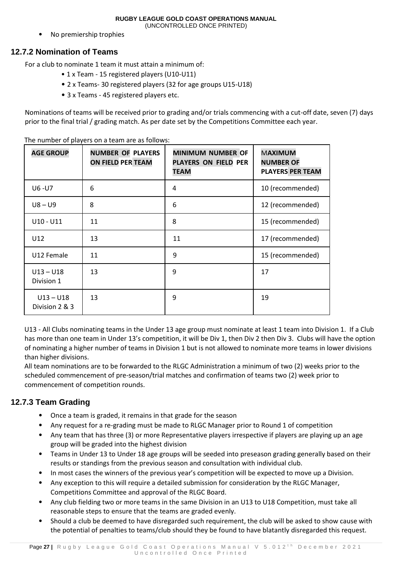• No premiership trophies

#### **12.7.2 Nomination of Teams**

For a club to nominate 1 team it must attain a minimum of:

- 1 x Team 15 registered players (U10-U11)
- 2 x Teams- 30 registered players (32 for age groups U15-U18)
- 3 x Teams 45 registered players etc.

Nominations of teams will be received prior to grading and/or trials commencing with a cut-off date, seven (7) days prior to the final trial / grading match. As per date set by the Competitions Committee each year.

| <b>AGE GROUP</b>              | <b>NUMBER OF PLAYERS</b><br><b>ON FIELD PER TEAM</b> | <b>MINIMUM NUMBER OF</b><br><b>PLAYERS ON FIELD PER</b><br><b>TEAM</b> | <b>MAXIMUM</b><br><b>NUMBER OF</b><br><b>PLAYERS PER TEAM</b> |
|-------------------------------|------------------------------------------------------|------------------------------------------------------------------------|---------------------------------------------------------------|
| U6-U7                         | 6                                                    | 4                                                                      | 10 (recommended)                                              |
| $US - US$                     | 8                                                    | 6                                                                      | 12 (recommended)                                              |
| $U10 - U11$                   | 11                                                   | 8                                                                      | 15 (recommended)                                              |
| U12                           | 13                                                   | 11                                                                     | 17 (recommended)                                              |
| U12 Female                    | 11                                                   | 9                                                                      | 15 (recommended)                                              |
| $U13 - U18$<br>Division 1     | 13                                                   | 9                                                                      | 17                                                            |
| $U13 - U18$<br>Division 2 & 3 | 13                                                   | 9                                                                      | 19                                                            |

The number of players on a team are as follows:

U13 - All Clubs nominating teams in the Under 13 age group must nominate at least 1 team into Division 1. If a Club has more than one team in Under 13's competition, it will be Div 1, then Div 2 then Div 3. Clubs will have the option of nominating a higher number of teams in Division 1 but is not allowed to nominate more teams in lower divisions than higher divisions.

All team nominations are to be forwarded to the RLGC Administration a minimum of two (2) weeks prior to the scheduled commencement of pre-season/trial matches and confirmation of teams two (2) week prior to commencement of competition rounds.

#### **12.7.3 Team Grading**

- Once a team is graded, it remains in that grade for the season
- Any request for a re-grading must be made to RLGC Manager prior to Round 1 of competition
- Any team that has three (3) or more Representative players irrespective if players are playing up an age group will be graded into the highest division
- Teams in Under 13 to Under 18 age groups will be seeded into preseason grading generally based on their results or standings from the previous season and consultation with individual club.
- In most cases the winners of the previous year's competition will be expected to move up a Division.
- Any exception to this will require a detailed submission for consideration by the RLGC Manager, Competitions Committee and approval of the RLGC Board.
- Any club fielding two or more teams in the same Division in an U13 to U18 Competition, must take all reasonable steps to ensure that the teams are graded evenly.
- Should a club be deemed to have disregarded such requirement, the club will be asked to show cause with the potential of penalties to teams/club should they be found to have blatantly disregarded this request.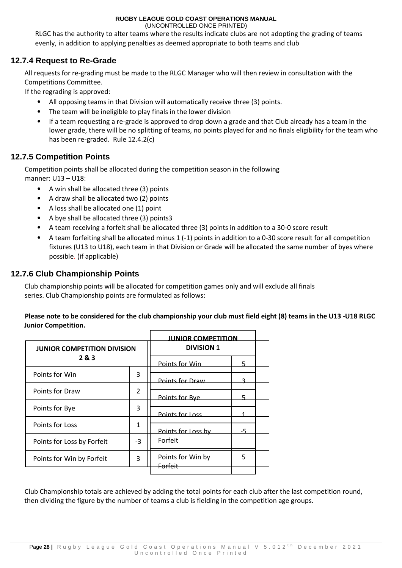(UNCONTROLLED ONCE PRINTED)

RLGC has the authority to alter teams where the results indicate clubs are not adopting the grading of teams evenly, in addition to applying penalties as deemed appropriate to both teams and club

#### **12.7.4 Request to Re-Grade**

All requests for re-grading must be made to the RLGC Manager who will then review in consultation with the Competitions Committee.

If the regrading is approved:

- All opposing teams in that Division will automatically receive three (3) points.
- The team will be ineligible to play finals in the lower division
- If a team requesting a re-grade is approved to drop down a grade and that Club already has a team in the lower grade, there will be no splitting of teams, no points played for and no finals eligibility for the team who has been re-graded. Rule 12.4.2(c)

#### **12.7.5 Competition Points**

Competition points shall be allocated during the competition season in the following manner: U13 – U18:

- A win shall be allocated three (3) points
- A draw shall be allocated two (2) points
- A loss shall be allocated one (1) point
- A bye shall be allocated three (3) points3
- A team receiving a forfeit shall be allocated three (3) points in addition to a 30-0 score result
- A team forfeiting shall be allocated minus 1 (-1) points in addition to a 0-30 score result for all competition fixtures (U13 to U18), each team in that Division or Grade will be allocated the same number of byes where possible. (if applicable)

#### **12.7.6 Club Championship Points**

Club championship points will be allocated for competition games only and will exclude all finals series. Club Championship points are formulated as follows:

#### **Please note to be considered for the club championship your club must field eight (8) teams in the U13 -U18 RLGC Junior Competition.**

|                                    |                | <b>JUNIOR COMPETITION</b> |   |  |
|------------------------------------|----------------|---------------------------|---|--|
| <b>JUNIOR COMPETITION DIVISION</b> |                | <b>DIVISION 1</b>         |   |  |
| 2&3                                |                | Points for Win            |   |  |
| Points for Win                     | 3              |                           |   |  |
|                                    |                | Points for Draw           |   |  |
| <b>Points for Draw</b>             | $\overline{2}$ | Points for Bye            |   |  |
|                                    | 3              |                           |   |  |
| Points for Bye                     |                | Points for Loss           |   |  |
| <b>Points for Loss</b>             | 1              |                           |   |  |
|                                    |                | Points for Loss by        |   |  |
| Points for Loss by Forfeit         | $-3$           | Forfeit                   |   |  |
| Points for Win by Forfeit          | 3              | Points for Win by         | 5 |  |
|                                    |                | Enrfait                   |   |  |
|                                    |                |                           |   |  |

Club Championship totals are achieved by adding the total points for each club after the last competition round, then dividing the figure by the number of teams a club is fielding in the competition age groups.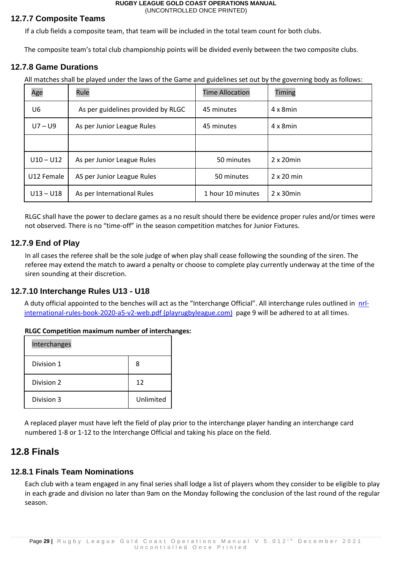#### **12.7.7 Composite Teams**

If a club fields a composite team, that team will be included in the total team count for both clubs.

The composite team's total club championship points will be divided evenly between the two composite clubs.

#### **12.7.8 Game Durations**

All matches shall be played under the laws of the Game and guidelines set out by the governing body as follows:

| Age         | Rule                               | <b>Time Allocation</b> | Timing            |
|-------------|------------------------------------|------------------------|-------------------|
| U6          | As per guidelines provided by RLGC | 45 minutes             | $4 \times 8$ min  |
| $U7 - U9$   | As per Junior League Rules         | 45 minutes             | $4 \times 8$ min  |
|             |                                    |                        |                   |
| $U10 - U12$ | As per Junior League Rules         | 50 minutes             | $2 \times 20$ min |
| U12 Female  | AS per Junior League Rules         | 50 minutes             | $2 \times 20$ min |
| $U13 - U18$ | As per International Rules         | 1 hour 10 minutes      | $2 \times 30$ min |

RLGC shall have the power to declare games as a no result should there be evidence proper rules and/or times were not observed. There is no "time-off" in the season competition matches for Junior Fixtures.

#### **12.7.9 End of Play**

In all cases the referee shall be the sole judge of when play shall cease following the sounding of the siren. The referee may extend the match to award a penalty or choose to complete play currently underway at the time of the siren sounding at their discretion.

#### **12.7.10 Interchange Rules U13 - U18**

A duty official appointed to the benches will act as the "Interchange Official". All interchange rules outlined in [nrl](https://www.playrugbyleague.com/media/10100/nrl-international-rules-book-2020-a5-v2-web.pdf)[international-rules-book-2020-a5-v2-web.pdf \(playrugbyleague.com\)](https://www.playrugbyleague.com/media/10100/nrl-international-rules-book-2020-a5-v2-web.pdf) page 9 will be adhered to at all times.

#### **RLGC Competition maximum number of interchanges:**

| Interchanges |           |
|--------------|-----------|
| Division 1   | 8         |
| Division 2   | 12        |
| Division 3   | Unlimited |

A replaced player must have left the field of play prior to the interchange player handing an interchange card numbered 1-8 or 1-12 to the Interchange Official and taking his place on the field.

### <span id="page-28-0"></span>**12.8 Finals**

#### **12.8.1 Finals Team Nominations**

Each club with a team engaged in any final series shall lodge a list of players whom they consider to be eligible to play in each grade and division no later than 9am on the Monday following the conclusion of the last round of the regular season.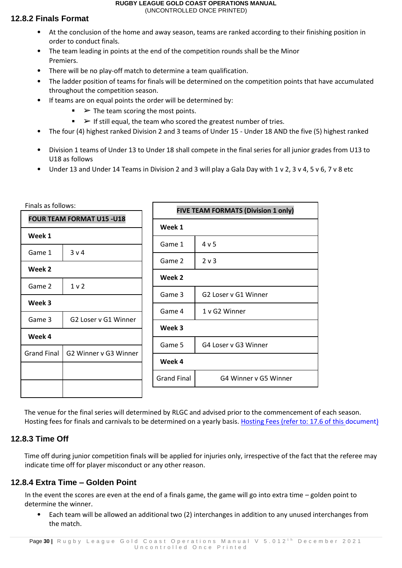### **12.8.2 Finals Format**

- At the conclusion of the home and away season, teams are ranked according to their finishing position in order to conduct finals.
- The team leading in points at the end of the competition rounds shall be the Minor Premiers.
- There will be no play-off match to determine a team qualification.
- The ladder position of teams for finals will be determined on the competition points that have accumulated throughout the competition season.
- If teams are on equal points the order will be determined by:
	- $\blacktriangleright$  The team scoring the most points.
	- $\blacktriangleright$  If still equal, the team who scored the greatest number of tries.
- The four (4) highest ranked Division 2 and 3 teams of Under 15 Under 18 AND the five (5) highest ranked
- Division 1 teams of Under 13 to Under 18 shall compete in the final series for all junior grades from U13 to U18 as follows
- Under 13 and Under 14 Teams in Division 2 and 3 will play a Gala Day with 1 v 2, 3 v 4, 5 v 6, 7 v 8 etc

| Finals as follows:               |                       | <b>FIVE TEAM FORMATS (Division 1 only)</b> |                    |                       |  |
|----------------------------------|-----------------------|--------------------------------------------|--------------------|-----------------------|--|
| <b>FOUR TEAM FORMAT U15 -U18</b> |                       |                                            |                    |                       |  |
| Week 1                           |                       |                                            | Week 1             |                       |  |
|                                  |                       |                                            | Game 1             | 4 v 5                 |  |
| Game 1                           | 3 v 4                 |                                            | Game 2             | 2 <sub>v</sub>        |  |
| Week 2                           |                       |                                            |                    |                       |  |
| Game 2                           | 1 <sub>v</sub>        |                                            | Week 2             |                       |  |
|                                  |                       |                                            | Game 3             | G2 Loser v G1 Winner  |  |
| Week 3                           |                       |                                            | Game 4             | 1 v G2 Winner         |  |
| Game 3                           | G2 Loser v G1 Winner  |                                            |                    |                       |  |
| Week 4                           |                       |                                            | Week 3             |                       |  |
|                                  |                       |                                            | Game 5             | G4 Loser v G3 Winner  |  |
| <b>Grand Final</b>               | G2 Winner v G3 Winner |                                            | Week 4             |                       |  |
|                                  |                       |                                            |                    |                       |  |
|                                  |                       |                                            | <b>Grand Final</b> | G4 Winner v G5 Winner |  |
|                                  |                       |                                            |                    |                       |  |

The venue for the final series will determined by RLGC and advised prior to the commencement of each season. Hosting fees for finals and carnivals to be determined on a yearly basis. Hosting Fees (refer to: 17.6 of this document)

## **12.8.3 Time Off**

Time off during junior competition finals will be applied for injuries only, irrespective of the fact that the referee may indicate time off for player misconduct or any other reason.

## **12.8.4 Extra Time – Golden Point**

In the event the scores are even at the end of a finals game, the game will go into extra time – golden point to determine the winner.

• Each team will be allowed an additional two (2) interchanges in addition to any unused interchanges from the match.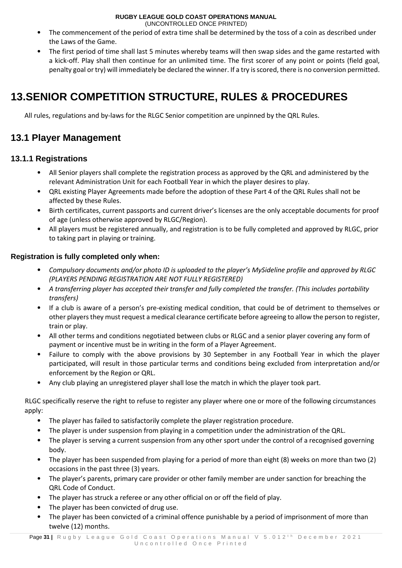(UNCONTROLLED ONCE PRINTED)

- The commencement of the period of extra time shall be determined by the toss of a coin as described under the Laws of the Game.
- The first period of time shall last 5 minutes whereby teams will then swap sides and the game restarted with a kick-off. Play shall then continue for an unlimited time. The first scorer of any point or points (field goal, penalty goal or try) will immediately be declared the winner. If a try is scored, there is no conversion permitted.

## <span id="page-30-0"></span>**13.SENIOR COMPETITION STRUCTURE, RULES & PROCEDURES**

All rules, regulations and by-laws for the RLGC Senior competition are unpinned by the QRL Rules.

## <span id="page-30-1"></span>**13.1 Player Management**

### <span id="page-30-2"></span>**13.1.1 Registrations**

- All Senior players shall complete the registration process as approved by the QRL and administered by the relevant Administration Unit for each Football Year in which the player desires to play.
- QRL existing Player Agreements made before the adoption of these Part 4 of the QRL Rules shall not be affected by these Rules.
- Birth certificates, current passports and current driver's licenses are the only acceptable documents for proof of age (unless otherwise approved by RLGC/Region).
- All players must be registered annually, and registration is to be fully completed and approved by RLGC, prior to taking part in playing or training.

#### <span id="page-30-3"></span>**Registration is fully completed only when:**

- *Compulsory documents and/or photo ID is uploaded to the player's MySideline profile and approved by RLGC (PLAYERS PENDING REGISTRATION ARE NOT FULLY REGISTERED)*
- *A transferring player has accepted their transfer and fully completed the transfer. (This includes portability transfers)*
- If a club is aware of a person's pre-existing medical condition, that could be of detriment to themselves or other players they must request a medical clearance certificate before agreeing to allow the person to register, train or play.
- All other terms and conditions negotiated between clubs or RLGC and a senior player covering any form of payment or incentive must be in writing in the form of a Player Agreement.
- Failure to comply with the above provisions by 30 September in any Football Year in which the player participated, will result in those particular terms and conditions being excluded from interpretation and/or enforcement by the Region or QRL.
- Any club playing an unregistered player shall lose the match in which the player took part.

RLGC specifically reserve the right to refuse to register any player where one or more of the following circumstances apply:

- The player has failed to satisfactorily complete the player registration procedure.
- The player is under suspension from playing in a competition under the administration of the QRL.
- The player is serving a current suspension from any other sport under the control of a recognised governing body.
- The player has been suspended from playing for a period of more than eight (8) weeks on more than two (2) occasions in the past three (3) years.
- The player's parents, primary care provider or other family member are under sanction for breaching the QRL Code of Conduct.
- The player has struck a referee or any other official on or off the field of play.
- The player has been convicted of drug use.
- The player has been convicted of a criminal offence punishable by a period of imprisonment of more than twelve (12) months.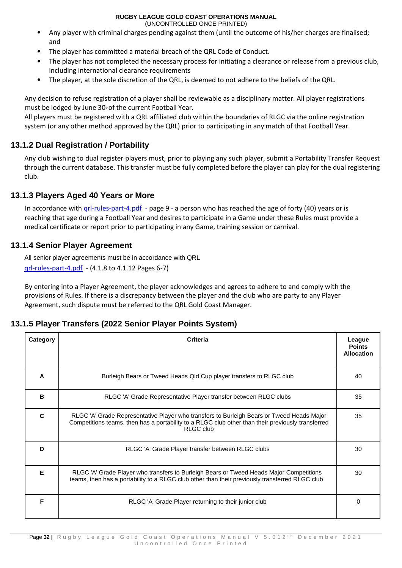(UNCONTROLLED ONCE PRINTED)

- Any player with criminal charges pending against them (until the outcome of his/her charges are finalised; and
- The player has committed a material breach of the QRL Code of Conduct.
- The player has not completed the necessary process for initiating a clearance or release from a previous club, including international clearance requirements
- The player, at the sole discretion of the QRL, is deemed to not adhere to the beliefs of the QRL.

Any decision to refuse registration of a player shall be reviewable as a disciplinary matter. All player registrations must be lodged by June 30<sup>th</sup> of the current Football Year.

All players must be registered with a QRL affiliated club within the boundaries of RLGC via the online registration system (or any other method approved by the QRL) prior to participating in any match of that Football Year.

### <span id="page-31-0"></span>**13.1.2 Dual Registration / Portability**

Any club wishing to dual register players must, prior to playing any such player, submit a Portability Transfer Request through the current database. This transfer must be fully completed before the player can play for the dual registering club.

#### <span id="page-31-1"></span>**13.1.3 Players Aged 40 Years or More**

In accordance with grl-rules-part-4.pdf - page 9 - a person who has reached the age of forty (40) years or is reaching that age during a Football Year and desires to participate in a Game under these Rules must provide a medical certificate or report prior to participating in any Game, training session or carnival.

### <span id="page-31-2"></span>**13.1.4 Senior Player Agreement**

All senior player agreements must be in accordance with QRL [qrl-rules-part-4.pdf](https://www.qrl.com.au/contentassets/fe165f50b22a4557bddabb6ca8e9d0a2/qrl-rules-part-4.pdf) - (4.1.8 to 4.1.12 Pages 6-7)

By entering into a Player Agreement, the player acknowledges and agrees to adhere to and comply with the provisions of Rules. If there is a discrepancy between the player and the club who are party to any Player Agreement, such dispute must be referred to the QRL Gold Coast Manager.

### <span id="page-31-3"></span>**13.1.5 Player Transfers (2022 Senior Player Points System)**

| Category     | Criteria                                                                                                                                                                                                           | League<br><b>Points</b><br><b>Allocation</b> |
|--------------|--------------------------------------------------------------------------------------------------------------------------------------------------------------------------------------------------------------------|----------------------------------------------|
| A            | Burleigh Bears or Tweed Heads Qld Cup player transfers to RLGC club                                                                                                                                                | 40                                           |
| в            | RLGC 'A' Grade Representative Player transfer between RLGC clubs                                                                                                                                                   | 35                                           |
| $\mathbf{C}$ | RLGC 'A' Grade Representative Player who transfers to Burleigh Bears or Tweed Heads Major<br>Competitions teams, then has a portability to a RLGC club other than their previously transferred<br><b>RLGC club</b> | 35                                           |
| D            | RLGC 'A' Grade Player transfer between RLGC clubs                                                                                                                                                                  | 30                                           |
| Е            | RLGC 'A' Grade Player who transfers to Burleigh Bears or Tweed Heads Major Competitions<br>teams, then has a portability to a RLGC club other than their previously transferred RLGC club                          | 30                                           |
| F            | RLGC 'A' Grade Player returning to their junior club                                                                                                                                                               | 0                                            |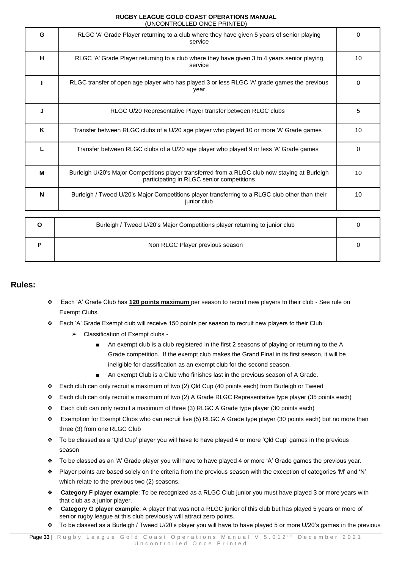|   | 01100111110LLLD 0110L 1 11111LD                                                                                                             |              |
|---|---------------------------------------------------------------------------------------------------------------------------------------------|--------------|
| G | RLGC 'A' Grade Player returning to a club where they have given 5 years of senior playing<br>service                                        | 0            |
| H | RLGC 'A' Grade Player returning to a club where they have given 3 to 4 years senior playing<br>service                                      | 10           |
|   | RLGC transfer of open age player who has played 3 or less RLGC 'A' grade games the previous<br>year                                         | $\mathbf{0}$ |
| J | RLGC U/20 Representative Player transfer between RLGC clubs                                                                                 | 5            |
| K | Transfer between RLGC clubs of a U/20 age player who played 10 or more 'A' Grade games                                                      | 10           |
| L | Transfer between RLGC clubs of a U/20 age player who played 9 or less 'A' Grade games                                                       | $\mathbf{0}$ |
| M | Burleigh U/20's Major Competitions player transferred from a RLGC club now staying at Burleigh<br>participating in RLGC senior competitions | 10           |
| N | Burleigh / Tweed U/20's Major Competitions player transferring to a RLGC club other than their<br>junior club                               | 10           |
|   |                                                                                                                                             |              |
| O | Burleigh / Tweed U/20's Major Competitions player returning to junior club                                                                  | $\Omega$     |
| P | Non RLGC Player previous season                                                                                                             | 0            |

#### **Rules:**

- ❖ Each 'A' Grade Club has **120 points maximum** per season to recruit new players to their club See rule on Exempt Clubs.
- ❖ Each 'A' Grade Exempt club will receive 150 points per season to recruit new players to their Club.
	- ➢ Classification of Exempt clubs
		- An exempt club is a club registered in the first 2 seasons of playing or returning to the A Grade competition. If the exempt club makes the Grand Final in its first season, it will be ineligible for classification as an exempt club for the second season.
		- An exempt Club is a Club who finishes last in the previous season of A Grade.
- ❖ Each club can only recruit a maximum of two (2) Qld Cup (40 points each) from Burleigh or Tweed
- ❖ Each club can only recruit a maximum of two (2) A Grade RLGC Representative type player (35 points each)
- ❖ Each club can only recruit a maximum of three (3) RLGC A Grade type player (30 points each)
- ❖ Exemption for Exempt Clubs who can recruit five (5) RLGC A Grade type player (30 points each) but no more than three (3) from one RLGC Club
- ❖ To be classed as a 'Qld Cup' player you will have to have played 4 or more 'Qld Cup' games in the previous season
- ❖ To be classed as an 'A' Grade player you will have to have played 4 or more 'A' Grade games the previous year.
- ❖ Player points are based solely on the criteria from the previous season with the exception of categories 'M' and 'N' which relate to the previous two (2) seasons.
- ❖ **Category F player example**: To be recognized as a RLGC Club junior you must have played 3 or more years with that club as a junior player.
- ❖ **Category G player example**: A player that was not a RLGC junior of this club but has played 5 years or more of senior rugby league at this club previously will attract zero points.
- ❖ To be classed as a Burleigh / Tweed U/20's player you will have to have played 5 or more U/20's games in the previous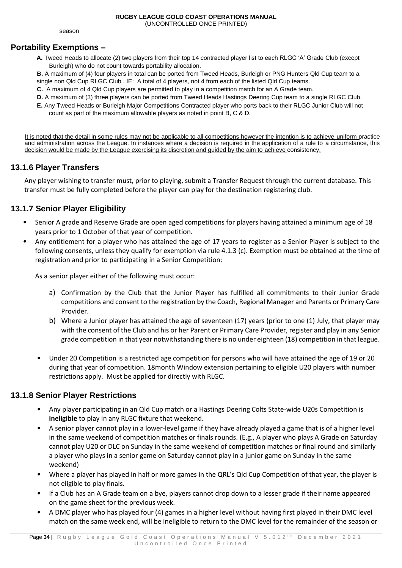season

#### **Portability Exemptions –**

**A.** Tweed Heads to allocate (2) two players from their top 14 contracted player list to each RLGC 'A' Grade Club (except Burleigh) who do not count towards portability allocation.

**B.** A maximum of (4) four players in total can be ported from Tweed Heads, Burleigh or PNG Hunters Qld Cup team to a single non Qld Cup RLGC Club . IE: A total of 4 players, not 4 from each of the listed Qld Cup teams.

**C.** A maximum of 4 Qld Cup players are permitted to play in a competition match for an A Grade team.

- **D.** A maximum of (3) three players can be ported from Tweed Heads Hastings Deering Cup team to a single RLGC Club.
- **E.** Any Tweed Heads or Burleigh Major Competitions Contracted player who ports back to their RLGC Junior Club will not count as part of the maximum allowable players as noted in point B, C & D.

It is noted that the detail in some rules may not be applicable to all competitions however the intention is to achieve uniform practice and administration across the League. In instances where a decision is required in the application of a rule to a circumstance, this decision would be made by the League exercising its discretion and guided by the aim to achieve consistency.

#### <span id="page-33-0"></span>**13.1.6 Player Transfers**

Any player wishing to transfer must, prior to playing, submit a Transfer Request through the current database. This transfer must be fully completed before the player can play for the destination registering club.

#### <span id="page-33-1"></span>**13.1.7 Senior Player Eligibility**

- Senior A grade and Reserve Grade are open aged competitions for players having attained a minimum age of 18 years prior to 1 October of that year of competition.
- Any entitlement for a player who has attained the age of 17 years to register as a Senior Player is subject to the following consents, unless they qualify for exemption via rule 4.1.3 (c). Exemption must be obtained at the time of registration and prior to participating in a Senior Competition:

As a senior player either of the following must occur:

- a) Confirmation by the Club that the Junior Player has fulfilled all commitments to their Junior Grade competitions and consent to the registration by the Coach, Regional Manager and Parents or Primary Care Provider.
- b) Where a Junior player has attained the age of seventeen (17) years (prior to one (1) July, that player may with the consent of the Club and his or her Parent or Primary Care Provider, register and play in any Senior grade competition in that year notwithstanding there is no under eighteen (18) competition in that league.
- Under 20 Competition is a restricted age competition for persons who will have attained the age of 19 or 20 during that year of competition. 18month Window extension pertaining to eligible U20 players with number restrictions apply. Must be applied for directly with RLGC.

#### <span id="page-33-2"></span>**13.1.8 Senior Player Restrictions**

- Any player participating in an Qld Cup match or a Hastings Deering Colts State-wide U20s Competition is **ineligible** to play in any RLGC fixture that weekend.
- A senior player cannot play in a lower-level game if they have already played a game that is of a higher level in the same weekend of competition matches or finals rounds. (E.g., A player who plays A Grade on Saturday cannot play U20 or DLC on Sunday in the same weekend of competition matches or final round and similarly a player who plays in a senior game on Saturday cannot play in a junior game on Sunday in the same weekend)
- Where a player has played in half or more games in the QRL's Qld Cup Competition of that year, the player is not eligible to play finals.
- If a Club has an A Grade team on a bye, players cannot drop down to a lesser grade if their name appeared on the game sheet for the previous week.
- A DMC player who has played four (4) games in a higher level without having first played in their DMC level match on the same week end, will be ineligible to return to the DMC level for the remainder of the season or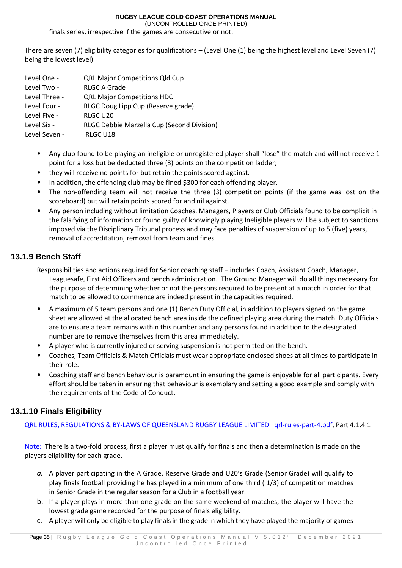(UNCONTROLLED ONCE PRINTED)

finals series, irrespective if the games are consecutive or not.

There are seven (7) eligibility categories for qualifications – (Level One (1) being the highest level and Level Seven (7) being the lowest level)

| Level One -   | <b>QRL Major Competitions Qld Cup</b>      |
|---------------|--------------------------------------------|
| Level Two -   | <b>RLGC A Grade</b>                        |
| Level Three - | <b>QRL Major Competitions HDC</b>          |
| Level Four -  | RLGC Doug Lipp Cup (Reserve grade)         |
| Level Five -  | RLGC U20                                   |
| Level Six -   | RLGC Debbie Marzella Cup (Second Division) |
| Level Seven - | RLGC U18                                   |

- Any club found to be playing an ineligible or unregistered player shall "lose" the match and will not receive 1 point for a loss but be deducted three (3) points on the competition ladder;
- they will receive no points for but retain the points scored against.
- In addition, the offending club may be fined \$300 for each offending player.
- The non-offending team will not receive the three (3) competition points (if the game was lost on the scoreboard) but will retain points scored for and nil against.
- Any person including without limitation Coaches, Managers, Players or Club Officials found to be complicit in the falsifying of information or found guilty of knowingly playing Ineligible players will be subject to sanctions imposed via the Disciplinary Tribunal process and may face penalties of suspension of up to 5 (five) years, removal of accreditation, removal from team and fines

#### <span id="page-34-0"></span>**13.1.9 Bench Staff**

Responsibilities and actions required for Senior coaching staff – includes Coach, Assistant Coach, Manager, Leaguesafe, First Aid Officers and bench administration. The Ground Manager will do all things necessary for the purpose of determining whether or not the persons required to be present at a match in order for that match to be allowed to commence are indeed present in the capacities required.

- A maximum of 5 team persons and one (1) Bench Duty Official, in addition to players signed on the game sheet are allowed at the allocated bench area inside the defined playing area during the match. Duty Officials are to ensure a team remains within this number and any persons found in addition to the designated number are to remove themselves from this area immediately.
- A player who is currently injured or serving suspension is not permitted on the bench.
- Coaches, Team Officials & Match Officials must wear appropriate enclosed shoes at all times to participate in their role.
- Coaching staff and bench behaviour is paramount in ensuring the game is enjoyable for all participants. Every effort should be taken in ensuring that behaviour is exemplary and setting a good example and comply with the requirements of the Code of Conduct.

#### <span id="page-34-1"></span>**13.1.10 Finals Eligibility**

QRL RULES, REGULATIONS & BY-LAWS OF QUEENSLAND RUGBY LEAGUE LIMITED [qrl-rules-part-4.pdf,](https://www.qrl.com.au/contentassets/fe165f50b22a4557bddabb6ca8e9d0a2/qrl-rules-part-4.pdf) Part 4.1.4.1

Note: There is a two-fold process, first a player must qualify for finals and then a determination is made on the players eligibility for each grade.

- *a.* A player participating in the A Grade, Reserve Grade and U20's Grade (Senior Grade) will qualify to play finals football providing he has played in a minimum of one third ( 1/3) of competition matches in Senior Grade in the regular season for a Club in a football year.
- b. If a player plays in more than one grade on the same weekend of matches, the player will have the lowest grade game recorded for the purpose of finals eligibility.
- c. A player will only be eligible to play finals in the grade in which they have played the majority of games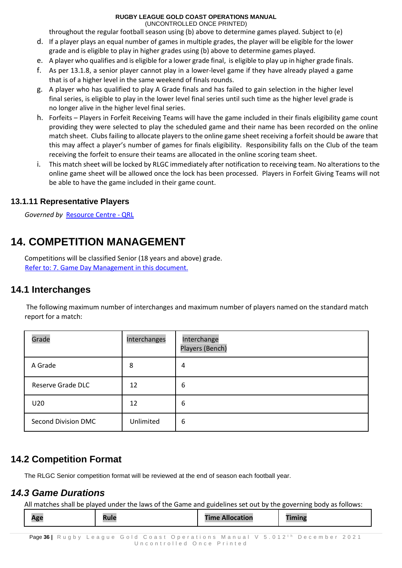throughout the regular football season using (b) above to determine games played. Subject to (e)

- d. If a player plays an equal number of games in multiple grades, the player will be eligible for the lower grade and is eligible to play in higher grades using (b) above to determine games played.
- e. A player who qualifies and is eligible for a lower grade final, is eligible to play up in higher grade finals.
- f. As per 13.1.8, a senior player cannot play in a lower-level game if they have already played a game that is of a higher level in the same weekend of finals rounds.
- g. A player who has qualified to play A Grade finals and has failed to gain selection in the higher level final series, is eligible to play in the lower level final series until such time as the higher level grade is no longer alive in the higher level final series.
- h. Forfeits Players in Forfeit Receiving Teams will have the game included in their finals eligibility game count providing they were selected to play the scheduled game and their name has been recorded on the online match sheet. Clubs failing to allocate players to the online game sheet receiving a forfeit should be aware that this may affect a player's number of games for finals eligibility. Responsibility falls on the Club of the team receiving the forfeit to ensure their teams are allocated in the online scoring team sheet.
- i. This match sheet will be locked by RLGC immediately after notification to receiving team. No alterations to the online game sheet will be allowed once the lock has been processed. Players in Forfeit Giving Teams will not be able to have the game included in their game count.

#### <span id="page-35-0"></span>**13.1.11 Representative Players**

*Governed by* [Resource Centre -](https://www.qrl.com.au/clubhouse/resources/) QRL

## <span id="page-35-1"></span>**14. COMPETITION MANAGEMENT**

Competitions will be classified Senior (18 years and above) grade. Refer to: 7. Game Day Management in this document.

### <span id="page-35-2"></span>**14.1 Interchanges**

The following maximum number of interchanges and maximum number of players named on the standard match report for a match:

| Grade               | Interchanges | Interchange<br>Players (Bench) |
|---------------------|--------------|--------------------------------|
| A Grade             | 8            | 4                              |
| Reserve Grade DLC   | 12           | 6                              |
| U20                 | 12           | 6                              |
| Second Division DMC | Unlimited    | 6                              |

## <span id="page-35-3"></span>**14.2 Competition Format**

The RLGC Senior competition format will be reviewed at the end of season each football year.

## *14.3 Game Durations*

All matches shall be played under the laws of the Game and guidelines set out by the governing body as follows:

| ¬გ֊ | TIMIL | <b>Time Allocation</b> | <b>THAN THE C</b><br>. |
|-----|-------|------------------------|------------------------|
|     |       |                        |                        |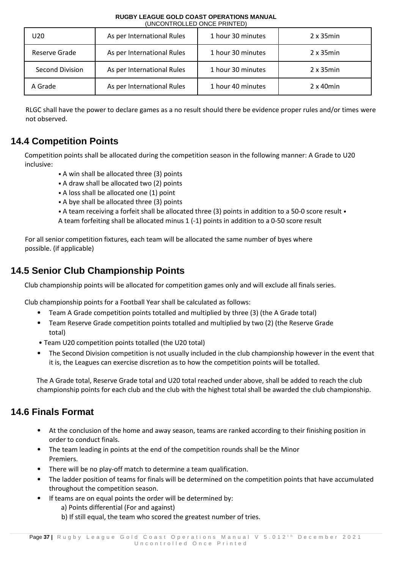| RUGBY LEAGUE GOLD COAST OPERATIONS MANUAL |  |
|-------------------------------------------|--|
| (UNCONTROLLED ONCE PRINTED)               |  |

| U20             | As per International Rules | 1 hour 30 minutes | $2 \times 35$ min |
|-----------------|----------------------------|-------------------|-------------------|
| Reserve Grade   | As per International Rules | 1 hour 30 minutes | $2 \times 35$ min |
| Second Division | As per International Rules | 1 hour 30 minutes | $2 \times 35$ min |
| A Grade         | As per International Rules | 1 hour 40 minutes | $2 \times 40$ min |

RLGC shall have the power to declare games as a no result should there be evidence proper rules and/or times were not observed.

## <span id="page-36-0"></span>**14.4 Competition Points**

Competition points shall be allocated during the competition season in the following manner: A Grade to U20 inclusive:

- A win shall be allocated three (3) points
- A draw shall be allocated two (2) points
- A loss shall be allocated one (1) point
- A bye shall be allocated three (3) points
- A team receiving a forfeit shall be allocated three (3) points in addition to a 50-0 score result •

A team forfeiting shall be allocated minus 1 (-1) points in addition to a 0-50 score result

For all senior competition fixtures, each team will be allocated the same number of byes where possible. (if applicable)

## <span id="page-36-1"></span>**14.5 Senior Club Championship Points**

Club championship points will be allocated for competition games only and will exclude all finals series.

Club championship points for a Football Year shall be calculated as follows:

- Team A Grade competition points totalled and multiplied by three (3) (the A Grade total)
- Team Reserve Grade competition points totalled and multiplied by two (2) (the Reserve Grade total)
- Team U20 competition points totalled (the U20 total)
- The Second Division competition is not usually included in the club championship however in the event that it is, the Leagues can exercise discretion as to how the competition points will be totalled.

The A Grade total, Reserve Grade total and U20 total reached under above, shall be added to reach the club championship points for each club and the club with the highest total shall be awarded the club championship.

## <span id="page-36-2"></span>**14.6 Finals Format**

- At the conclusion of the home and away season, teams are ranked according to their finishing position in order to conduct finals.
- The team leading in points at the end of the competition rounds shall be the Minor Premiers.
- There will be no play-off match to determine a team qualification.
- The ladder position of teams for finals will be determined on the competition points that have accumulated throughout the competition season.
- If teams are on equal points the order will be determined by:
	- a) Points differential (For and against)
	- b) If still equal, the team who scored the greatest number of tries.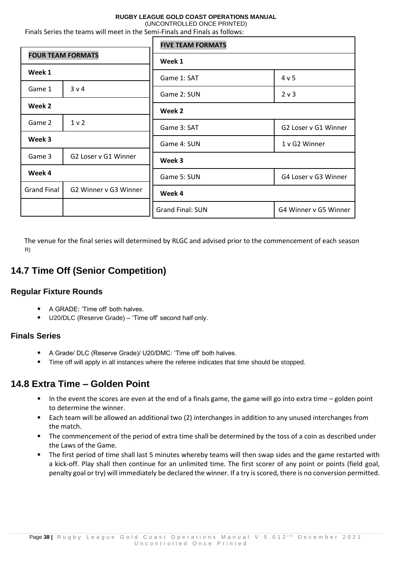(UNCONTROLLED ONCE PRINTED)

| <b>FOUR TEAM FORMATS</b><br>Week 1<br>3 v 4<br>Game 1<br>Week 2<br>1 <sub>v</sub><br>Game 2<br>Week 3<br>Game 3<br>G2 Loser v G1 Winner |  | <b>FIVE TEAM FORMATS</b> |                       |  |
|-----------------------------------------------------------------------------------------------------------------------------------------|--|--------------------------|-----------------------|--|
|                                                                                                                                         |  | Week 1                   |                       |  |
|                                                                                                                                         |  | Game 1: SAT              | 4 v 5                 |  |
|                                                                                                                                         |  | Game 2: SUN              | 2 v 3                 |  |
|                                                                                                                                         |  | Week 2                   |                       |  |
|                                                                                                                                         |  | Game 3: SAT              | G2 Loser v G1 Winner  |  |
|                                                                                                                                         |  | Game 4: SUN              | 1 v G2 Winner         |  |
|                                                                                                                                         |  |                          |                       |  |
|                                                                                                                                         |  | Week 3                   |                       |  |
| Week 4<br>G2 Winner v G3 Winner<br><b>Grand Final</b>                                                                                   |  | Game 5: SUN              | G4 Loser v G3 Winner  |  |
|                                                                                                                                         |  | Week 4                   |                       |  |
|                                                                                                                                         |  | <b>Grand Final: SUN</b>  | G4 Winner v G5 Winner |  |

Finals Series the teams will meet in the Semi-Finals and Finals as follows:

The venue for the final series will determined by RLGC and advised prior to the commencement of each season R)

## <span id="page-37-0"></span>**14.7 Time Off (Senior Competition)**

#### <span id="page-37-1"></span>**Regular Fixture Rounds**

- A GRADE: 'Time off' both halves.
- U20/DLC (Reserve Grade) 'Time off' second half only.

#### <span id="page-37-2"></span>**Finals Series**

- A Grade/ DLC (Reserve Grade)/ U20/DMC: 'Time off' both halves.
- Time off will apply in all instances where the referee indicates that time should be stopped.

## <span id="page-37-3"></span>**14.8 Extra Time – Golden Point**

- In the event the scores are even at the end of a finals game, the game will go into extra time golden point to determine the winner.
- Each team will be allowed an additional two (2) interchanges in addition to any unused interchanges from the match.
- The commencement of the period of extra time shall be determined by the toss of a coin as described under the Laws of the Game.
- The first period of time shall last 5 minutes whereby teams will then swap sides and the game restarted with a kick-off. Play shall then continue for an unlimited time. The first scorer of any point or points (field goal, penalty goal or try) will immediately be declared the winner. If a try is scored, there is no conversion permitted.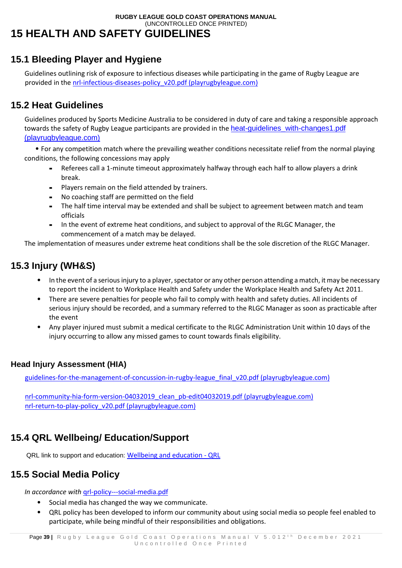## <span id="page-38-0"></span>**15 HEALTH AND SAFETY GUIDELINES**

## <span id="page-38-1"></span>**15.1 Bleeding Player and Hygiene**

Guidelines outlining risk of exposure to infectious diseases while participating in the game of Rugby League are provided in th[e nrl-infectious-diseases-policy\\_v20.pdf \(playrugbyleague.com\)](https://www.playrugbyleague.com/media/4380/nrl-infectious-diseases-policy_v20.pdf?_ga=2.236003652.450181541.1614732332-1381325448.1610327698)

## <span id="page-38-2"></span>**15.2 Heat Guidelines**

Guidelines produced by Sports Medicine Australia to be considered in duty of care and taking a responsible approach towards the safety of Rugby League participants are provided in the heat-quidelines\_with-changes1.pdf [\(playrugbyleague.com\)](https://www.playrugbyleague.com/media/1936/heat-guidelines_with-changes1.pdf)

• For any competition match where the prevailing weather conditions necessitate relief from the normal playing conditions, the following concessions may apply

- **-** Referees call a 1-minute timeout approximately halfway through each half to allow players a drink break.
- **-** Players remain on the field attended by trainers.
- **-** No coaching staff are permitted on the field
- **-** The half time interval may be extended and shall be subject to agreement between match and team officials
- **-** In the event of extreme heat conditions, and subject to approval of the RLGC Manager, the commencement of a match may be delayed.

The implementation of measures under extreme heat conditions shall be the sole discretion of the RLGC Manager.

## <span id="page-38-3"></span>**15.3 Injury (WH&S)**

- In the event of a serious injury to a player, spectator or any other person attending a match, it may be necessary to report the incident to Workplace Health and Safety under the Workplace Health and Safety Act 2011.
- There are severe penalties for people who fail to comply with health and safety duties. All incidents of serious injury should be recorded, and a summary referred to the RLGC Manager as soon as practicable after the event
- Any player injured must submit a medical certificate to the RLGC Administration Unit within 10 days of the injury occurring to allow any missed games to count towards finals eligibility.

### <span id="page-38-4"></span>**Head Injury Assessment (HIA)**

[guidelines-for-the-management-of-concussion-in-rugby-league\\_final\\_v20.pdf \(playrugbyleague.com\)](https://www.playrugbyleague.com/media/3102/guidelines-for-the-management-of-concussion-in-rugby-league_final_v20.pdf?_ga=2.26904056.450181541.1614732332-1381325448.1610327698)

[nrl-community-hia-form-version-04032019\\_clean\\_pb-edit04032019.pdf \(playrugbyleague.com\)](https://www.playrugbyleague.com/media/3141/nrl-community-hia-form-version-04032019_clean_pb-edit04032019.pdf?_ga=2.265503946.450181541.1614732332-1381325448.1610327698) [nrl-return-to-play-policy\\_v20.pdf \(playrugbyleague.com\)](https://www.playrugbyleague.com/media/4364/nrl-return-to-play-policy_v20.pdf?_ga=2.39422054.450181541.1614732332-1381325448.1610327698)

## <span id="page-38-5"></span>**15.4 QRL Wellbeing/ Education/Support**

QRL link to support and education: [Wellbeing and education -](https://www.qrl.com.au/wellbeing-education/wellbeing-and-education/) QRL

## <span id="page-38-6"></span>**15.5 Social Media Policy**

*In accordance with* [qrl-policy---social-media.pdf](https://www.qrl.com.au/contentassets/a1b82e2956c04298b4867682b38f192e/qrl-policy---social-media.pdf)

- Social media has changed the way we communicate.
- QRL policy has been developed to inform our community about using social media so people feel enabled to participate, while being mindful of their responsibilities and obligations.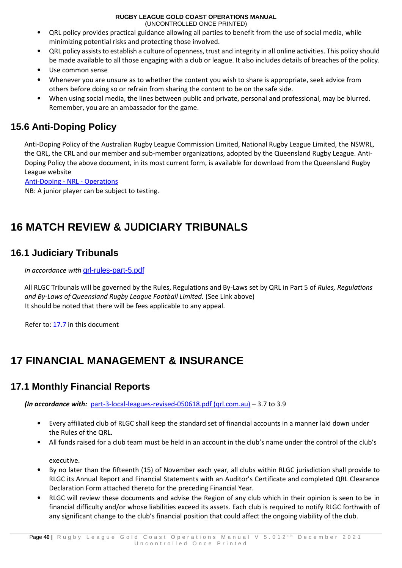(UNCONTROLLED ONCE PRINTED)

- QRL policy provides practical guidance allowing all parties to benefit from the use of social media, while minimizing potential risks and protecting those involved.
- QRL policy assists to establish a culture of openness, trust and integrity in all online activities. This policy should be made available to all those engaging with a club or league. It also includes details of breaches of the policy.
- Use common sense
- Whenever you are unsure as to whether the content you wish to share is appropriate, seek advice from others before doing so or refrain from sharing the content to be on the safe side.
- When using social media, the lines between public and private, personal and professional, may be blurred. Remember, you are an ambassador for the game.

## <span id="page-39-0"></span>**15.6 Anti-Doping Policy**

Anti-Doping Policy of the Australian Rugby League Commission Limited, National Rugby League Limited, the NSWRL, the QRL, the CRL and our member and sub-member organizations, adopted by the Queensland Rugby League. Anti-Doping Policy the above document, in its most current form, is available for download from the Queensland Rugby League website

[Anti-Doping -](https://www.nrl.com/operations/integrity/anti-doping/?_ga=2.194595304.450181541.1614732332-1381325448.1610327698) NRL - Operations

NB: A junior player can be subject to testing.

## <span id="page-39-1"></span>**16 MATCH REVIEW & JUDICIARY TRIBUNALS**

## <span id="page-39-2"></span>**16.1 Judiciary Tribunals**

*In accordance with* [qrl-rules-part-5.pdf](https://www.qrl.com.au/contentassets/5082282f19124e0cab5852f0b1815557/qrl-rules-part-5.pdf)

All RLGC Tribunals will be governed by the Rules, Regulations and By-Laws set by QRL in Part 5 of *Rules, Regulations and By-Laws of Queensland Rugby League Football Limited.* (See Link above) It should be noted that there will be fees applicable to any appeal.

Refer to: 17.7 in this document

## <span id="page-39-3"></span>**17 FINANCIAL MANAGEMENT & INSURANCE**

## <span id="page-39-4"></span>**17.1 Monthly Financial Reports**

*(In accordance with:* [part-3-local-leagues-revised-050618.pdf \(qrl.com.au\)](https://www.qrl.com.au/contentassets/1cdea4441cf344d6a5cd871fa973edab/part-3-local-leagues-revised-050618.pdf) – 3.7 to 3.9

- Every affiliated club of RLGC shall keep the standard set of financial accounts in a manner laid down under the Rules of the QRL.
- All funds raised for a club team must be held in an account in the club's name under the control of the club's

executive.

- By no later than the fifteenth (15) of November each year, all clubs within RLGC jurisdiction shall provide to RLGC its Annual Report and Financial Statements with an Auditor's Certificate and completed QRL Clearance Declaration Form attached thereto for the preceding Financial Year.
- RLGC will review these documents and advise the Region of any club which in their opinion is seen to be in financial difficulty and/or whose liabilities exceed its assets. Each club is required to notify RLGC forthwith of any significant change to the club's financial position that could affect the ongoing viability of the club.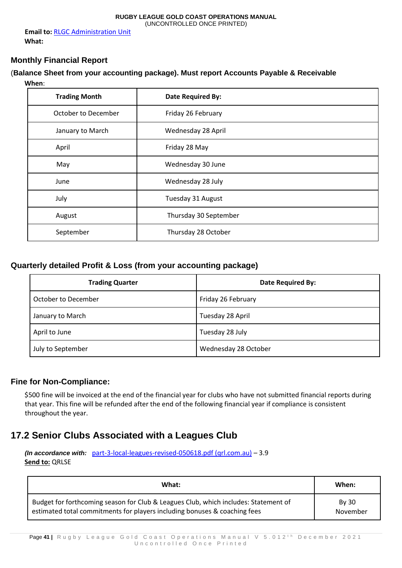**Email to:** RLGC Administration Unit **What:** 

#### <span id="page-40-0"></span>**Monthly Financial Report**

#### (**Balance Sheet from your accounting package). Must report Accounts Payable & Receivable When**:

| <b>Trading Month</b> | <b>Date Required By:</b> |
|----------------------|--------------------------|
| October to December  | Friday 26 February       |
| January to March     | Wednesday 28 April       |
| April                | Friday 28 May            |
| May                  | Wednesday 30 June        |
| June                 | Wednesday 28 July        |
| July                 | Tuesday 31 August        |
| August               | Thursday 30 September    |
| September            | Thursday 28 October      |

#### <span id="page-40-1"></span>**Quarterly detailed Profit & Loss (from your accounting package)**

| <b>Trading Quarter</b> | <b>Date Required By:</b> |
|------------------------|--------------------------|
| October to December    | Friday 26 February       |
| January to March       | Tuesday 28 April         |
| April to June          | Tuesday 28 July          |
| July to September      | Wednesday 28 October     |

#### <span id="page-40-2"></span>**Fine for Non-Compliance:**

\$500 fine will be invoiced at the end of the financial year for clubs who have not submitted financial reports during that year. This fine will be refunded after the end of the following financial year if compliance is consistent throughout the year.

## <span id="page-40-3"></span>**17.2 Senior Clubs Associated with a Leagues Club**

*(In accordance with:* [part-3-local-leagues-revised-050618.pdf \(qrl.com.au\)](https://www.qrl.com.au/contentassets/1cdea4441cf344d6a5cd871fa973edab/part-3-local-leagues-revised-050618.pdf) – 3.9 **Send to:** QRLSE

| What:                                                                                                                                                            | When:                    |
|------------------------------------------------------------------------------------------------------------------------------------------------------------------|--------------------------|
| Budget for forthcoming season for Club & Leagues Club, which includes: Statement of<br>estimated total commitments for players including bonuses & coaching fees | <b>By 30</b><br>November |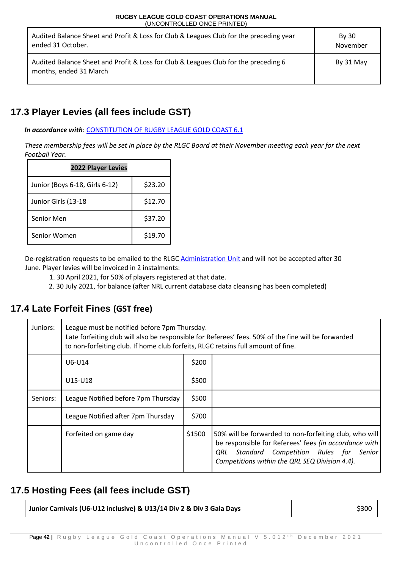| Audited Balance Sheet and Profit & Loss for Club & Leagues Club for the preceding year<br>ended 31 October.   | <b>By 30</b><br>November |
|---------------------------------------------------------------------------------------------------------------|--------------------------|
| Audited Balance Sheet and Profit & Loss for Club & Leagues Club for the preceding 6<br>months, ended 31 March | By 31 May                |

## <span id="page-41-0"></span>**17.3 Player Levies (all fees include GST)**

#### *In accordance with*: CONSTITUTION OF RUGBY LEAGUE GOLD COAST 6.1

*These membership fees will be set in place by the RLGC Board at their November meeting each year for the next Football Year.*

| <b>2022 Player Levies</b>      |         |  |
|--------------------------------|---------|--|
| Junior (Boys 6-18, Girls 6-12) | \$23.20 |  |
| Junior Girls (13-18            | \$12.70 |  |
| Senior Men                     | \$37.20 |  |
| Senior Women                   | \$19.70 |  |

De-registration requests to be emailed to the RLGC Administration Unit and will not be accepted after 30 June. Player levies will be invoiced in 2 instalments:

- 1. 30 April 2021, for 50% of players registered at that date.
- 2. 30 July 2021, for balance (after NRL current database data cleansing has been completed)

## <span id="page-41-1"></span>**17.4 Late Forfeit Fines (GST free)**

| Juniors: | League must be notified before 7pm Thursday.<br>Late forfeiting club will also be responsible for Referees' fees. 50% of the fine will be forwarded<br>to non-forfeiting club. If home club forfeits, RLGC retains full amount of fine. |        |                                                                                                                                                                                                                   |  |
|----------|-----------------------------------------------------------------------------------------------------------------------------------------------------------------------------------------------------------------------------------------|--------|-------------------------------------------------------------------------------------------------------------------------------------------------------------------------------------------------------------------|--|
|          | U6-U14                                                                                                                                                                                                                                  | \$200  |                                                                                                                                                                                                                   |  |
|          | U15-U18                                                                                                                                                                                                                                 | \$500  |                                                                                                                                                                                                                   |  |
| Seniors: | League Notified before 7pm Thursday                                                                                                                                                                                                     | \$500  |                                                                                                                                                                                                                   |  |
|          | League Notified after 7pm Thursday                                                                                                                                                                                                      | \$700  |                                                                                                                                                                                                                   |  |
|          | Forfeited on game day                                                                                                                                                                                                                   | \$1500 | 50% will be forwarded to non-forfeiting club, who will<br>be responsible for Referees' fees (in accordance with<br>Standard Competition Rules for Senior<br>ORL<br>Competitions within the QRL SEQ Division 4.4). |  |

## <span id="page-41-2"></span>**17.5 Hosting Fees (all fees include GST)**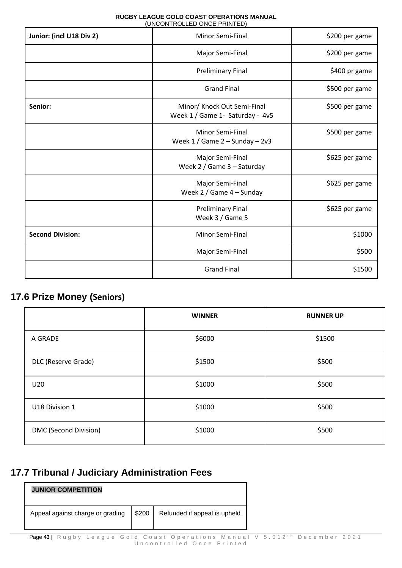| Junior: (incl U18 Div 2) | Minor Semi-Final                                               | \$200 per game |
|--------------------------|----------------------------------------------------------------|----------------|
|                          | Major Semi-Final                                               | \$200 per game |
|                          | <b>Preliminary Final</b>                                       | \$400 pr game  |
|                          | <b>Grand Final</b>                                             | \$500 per game |
| Senior:                  | Minor/ Knock Out Semi-Final<br>Week 1 / Game 1- Saturday - 4v5 | \$500 per game |
|                          | <b>Minor Semi-Final</b><br>Week $1/$ Game $2 -$ Sunday $-2v3$  | \$500 per game |
|                          | Major Semi-Final<br>Week 2 / Game 3 - Saturday                 | \$625 per game |
|                          | Major Semi-Final<br>Week $2/$ Game $4 -$ Sunday                | \$625 per game |
|                          | <b>Preliminary Final</b><br>Week 3 / Game 5                    | \$625 per game |
| <b>Second Division:</b>  | Minor Semi-Final                                               | \$1000         |
|                          | Major Semi-Final                                               | \$500          |
|                          | <b>Grand Final</b>                                             | \$1500         |

## <span id="page-42-0"></span>**17.6 Prize Money (Seniors)**

 $\Gamma$ 

|                       | <b>WINNER</b> | <b>RUNNER UP</b> |
|-----------------------|---------------|------------------|
| A GRADE               | \$6000        | \$1500           |
| DLC (Reserve Grade)   | \$1500        | \$500            |
| U20                   | \$1000        | \$500            |
| U18 Division 1        | \$1000        | \$500            |
| DMC (Second Division) | \$1000        | \$500            |

## <span id="page-42-1"></span>**17.7 Tribunal / Judiciary Administration Fees**

| <b>JUNIOR COMPETITION</b>        |       |                              |
|----------------------------------|-------|------------------------------|
| Appeal against charge or grading | \$200 | Refunded if appeal is upheld |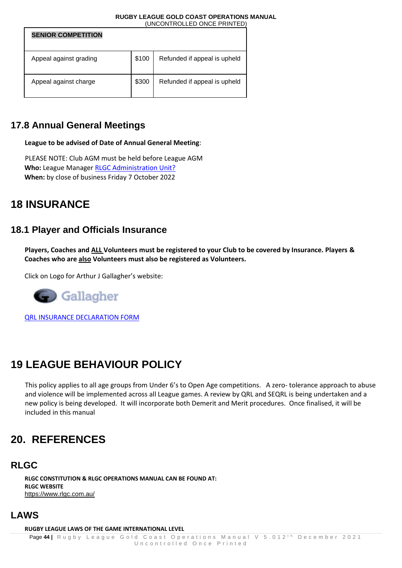| <b>SENIOR COMPETITION</b> |       |                              |
|---------------------------|-------|------------------------------|
| Appeal against grading    | \$100 | Refunded if appeal is upheld |
| Appeal against charge     | \$300 | Refunded if appeal is upheld |

## <span id="page-43-0"></span>**17.8 Annual General Meetings**

**League to be advised of Date of Annual General Meeting**:

PLEASE NOTE: Club AGM must be held before League AGM **Who:** League Manager RLGC Administration Unit? **When:** by close of business Friday 7 October 2022

## <span id="page-43-1"></span>**18 INSURANCE**

## <span id="page-43-2"></span>**18.1 Player and Officials Insurance**

**Players, Coaches and ALL Volunteers must be registered to your Club to be covered by Insurance. Players & Coaches who are also Volunteers must also be registered as Volunteers.** 

Click on Logo for Arthur J Gallagher's website:



QRL INSURANCE DECLARATION FORM

## <span id="page-43-3"></span>**19 LEAGUE BEHAVIOUR POLICY**

This policy applies to all age groups from Under 6's to Open Age competitions. A zero- tolerance approach to abuse and violence will be implemented across all League games. A review by QRL and SEQRL is being undertaken and a new policy is being developed. It will incorporate both Demerit and Merit procedures. Once finalised, it will be included in this manual

## <span id="page-43-4"></span>**20. REFERENCES**

### <span id="page-43-5"></span>**RLGC**

**RLGC CONSTITUTION & RLGC OPERATIONS MANUAL CAN BE FOUND AT: RLGC WEBSITE**  https://www.rlgc.com.au/

### <span id="page-43-6"></span>**LAWS**

**RUGBY LEAGUE LAWS OF THE GAME INTERNATIONAL LEVEL**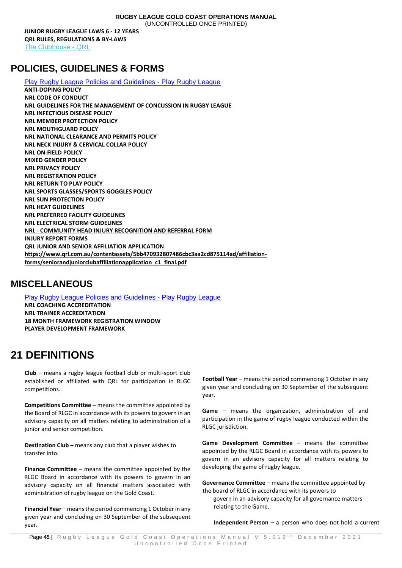(UNCONTROLLED ONCE PRINTED)

**JUNIOR RUGBY LEAGUE LAWS 6 - 12 YEARS QRL RULES, REGULATIONS & BY-LAWS**  [The Clubhouse -](https://www.qrl.com.au/clubhouse/) QRL

## <span id="page-44-0"></span>**POLICIES, GUIDELINES & FORMS**

[Play Rugby League Policies and Guidelines -](https://www.playrugbyleague.com/policies/) Play Rugby League **ANTI-DOPING POLICY NRL CODE OF CONDUCT NRL GUIDELINES FOR THE MANAGEMENT OF CONCUSSION IN RUGBY LEAGUE NRL INFECTIOUS DISEASE POLICY NRL MEMBER PROTECTION POLICY NRL MOUTHGUARD POLICY NRL NATIONAL CLEARANCE AND PERMITS POLICY NRL NECK INJURY & CERVICAL COLLAR POLICY NRL ON-FIELD POLICY MIXED GENDER POLICY NRL PRIVACY POLICY NRL REGISTRATION POLICY NRL RETURN TO PLAY POLICY NRL SPORTS GLASSES/SPORTS GOGGLES POLICY NRL SUN PROTECTION POLICY NRL HEAT GUIDELINES NRL PREFERRED FACILITY GUIDELINES NRL ELECTRICAL STORM GUIDELINES NRL - COMMUNITY HEAD INJURY RECOGNITION AND REFERRAL FORM INJURY REPORT FORMS QRL JUNIOR AND SENIOR AFFILIATION APPLICATION https://www.qrl.com.au/contentassets/5bb470932807486cbc3aa2cd875114ad/affiliationforms/seniorandjuniorclubaffiliationapplication\_c1\_final.pdf**

## <span id="page-44-1"></span>**MISCELLANEOUS**

[Play Rugby League Policies and Guidelines -](https://www.playrugbyleague.com/policies/) Play Rugby League **NRL COACHING ACCREDITATION NRL TRAINER ACCREDITATION 18 MONTH FRAMEWORK REGISTRATION WINDOW PLAYER DEVELOPMENT FRAMEWORK** 

## <span id="page-44-2"></span>**21 DEFINITIONS**

**Club** – means a rugby league football club or multi-sport club established or affiliated with QRL for participation in RLGC competitions.

**Competitions Committee** – means the committee appointed by the Board of RLGC in accordance with its powers to govern in an advisory capacity on all matters relating to administration of a junior and senior competition.

**Destination Club** – means any club that a player wishes to transfer into.

**Finance Committee** – means the committee appointed by the RLGC Board in accordance with its powers to govern in an advisory capacity on all financial matters associated with administration of rugby league on the Gold Coast.

**Financial Year** – means the period commencing 1 October in any given year and concluding on 30 September of the subsequent year.

Football Year – means the period commencing 1 October in any given year and concluding on 30 September of the subsequent year.

**Game** – means the organization, administration of and participation in the game of rugby league conducted within the RLGC jurisdiction.

**Game Development Committee** – means the committee appointed by the RLGC Board in accordance with its powers to govern in an advisory capacity for all matters relating to developing the game of rugby league.

**Governance Committee** – means the committee appointed by the board of RLGC in accordance with its powers to

govern in an advisory capacity for all governance matters relating to the Game.

**Independent Person** – a person who does not hold a current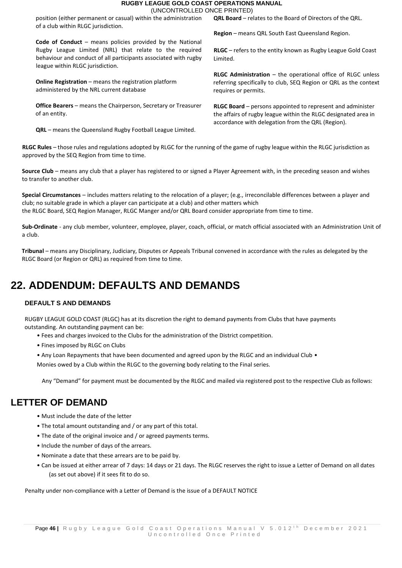position (either permanent or casual) within the administration of a club within RLGC jurisdiction.

**Code of Conduct** – means policies provided by the National Rugby League Limited (NRL) that relate to the required behaviour and conduct of all participants associated with rugby league within RLGC jurisdiction.

**Online Registration** – means the registration platform administered by the NRL current database

**Office Bearers** – means the Chairperson, Secretary or Treasurer of an entity.

**QRL** – means the Queensland Rugby Football League Limited.

**QRL Board** – relates to the Board of Directors of the QRL.

**Region** – means QRL South East Queensland Region.

**RLGC** – refers to the entity known as Rugby League Gold Coast Limited.

**RLGC Administration** – the operational office of RLGC unless referring specifically to club, SEQ Region or QRL as the context requires or permits.

**RLGC Board** – persons appointed to represent and administer the affairs of rugby league within the RLGC designated area in accordance with delegation from the QRL (Region).

**RLGC Rules** – those rules and regulations adopted by RLGC for the running of the game of rugby league within the RLGC jurisdiction as approved by the SEQ Region from time to time.

**Source Club** – means any club that a player has registered to or signed a Player Agreement with, in the preceding season and wishes to transfer to another club.

**Special Circumstances** – includes matters relating to the relocation of a player; (e.g., irreconcilable differences between a player and club; no suitable grade in which a player can participate at a club) and other matters which the RLGC Board, SEQ Region Manager, RLGC Manger and/or QRL Board consider appropriate from time to time.

**Sub-Ordinate** - any club member, volunteer, employee, player, coach, official, or match official associated with an Administration Unit of a club.

**Tribunal** – means any Disciplinary, Judiciary, Disputes or Appeals Tribunal convened in accordance with the rules as delegated by the RLGC Board (or Region or QRL) as required from time to time.

## <span id="page-45-0"></span>**22. ADDENDUM: DEFAULTS AND DEMANDS**

#### **DEFAULT S AND DEMANDS**

RUGBY LEAGUE GOLD COAST (RLGC) has at its discretion the right to demand payments from Clubs that have payments outstanding. An outstanding payment can be:

- Fees and charges invoiced to the Clubs for the administration of the District competition.
- Fines imposed by RLGC on Clubs
- Any Loan Repayments that have been documented and agreed upon by the RLGC and an individual Club •

Monies owed by a Club within the RLGC to the governing body relating to the Final series.

Any "Demand" for payment must be documented by the RLGC and mailed via registered post to the respective Club as follows:

### <span id="page-45-1"></span>**LETTER OF DEMAND**

- Must include the date of the letter
- The total amount outstanding and / or any part of this total.
- The date of the original invoice and / or agreed payments terms.
- Include the number of days of the arrears.
- Nominate a date that these arrears are to be paid by.
- Can be issued at either arrear of 7 days: 14 days or 21 days. The RLGC reserves the right to issue a Letter of Demand on all dates (as set out above) if it sees fit to do so.

Penalty under non-compliance with a Letter of Demand is the issue of a DEFAULT NOTICE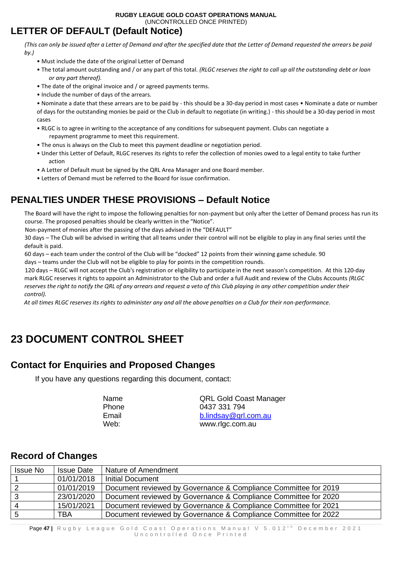## <span id="page-46-0"></span>**LETTER OF DEFAULT (Default Notice)**

*(This can only be issued after a Letter of Demand and after the specified date that the Letter of Demand requested the arrears be paid by.)* 

- Must include the date of the original Letter of Demand
- The total amount outstanding and / or any part of this total. *(RLGC reserves the right to call up all the outstanding debt or loan or any part thereof).*
- The date of the original invoice and / or agreed payments terms.
- Include the number of days of the arrears.

• Nominate a date that these arrears are to be paid by - this should be a 30-day period in most cases • Nominate a date or number of days for the outstanding monies be paid or the Club in default to negotiate (in writing.) - this should be a 30-day period in most cases

- RLGC is to agree in writing to the acceptance of any conditions for subsequent payment. Clubs can negotiate a repayment programme to meet this requirement.
- The onus is always on the Club to meet this payment deadline or negotiation period.
- Under this Letter of Default, RLGC reserves its rights to refer the collection of monies owed to a legal entity to take further action
- A Letter of Default must be signed by the QRL Area Manager and one Board member.
- Letters of Demand must be referred to the Board for issue confirmation.

## <span id="page-46-1"></span>**PENALTIES UNDER THESE PROVISIONS – Default Notice**

The Board will have the right to impose the following penalties for non-payment but only after the Letter of Demand process has run its course. The proposed penalties should be clearly written in the "Notice".

Non-payment of monies after the passing of the days advised in the "DEFAULT"

30 days – The Club will be advised in writing that all teams under their control will not be eligible to play in any final series until the default is paid.

60 days – each team under the control of the Club will be "docked" 12 points from their winning game schedule. 90 days – teams under the Club will not be eligible to play for points in the competition rounds.

120 days – RLGC will not accept the Club's registration or eligibility to participate in the next season's competition. At this 120-day mark RLGC reserves it rights to appoint an Administrator to the Club and order a full Audit and review of the Clubs Accounts *(RLGC reserves the right to notify the QRL of any arrears and request a veto of this Club playing in any other competition under their control).* 

*At all times RLGC reserves its rights to administer any and all the above penalties on a Club for their non-performance.*

## <span id="page-46-2"></span>**23 DOCUMENT CONTROL SHEET**

### <span id="page-46-3"></span>**Contact for Enquiries and Proposed Changes**

If you have any questions regarding this document, contact:

| Name  |  |
|-------|--|
| Phone |  |
| Email |  |
| Web:  |  |

**QRL Gold Coast Manager** 0437 331 794 [b.lindsay@qrl.com.au](mailto:b.lindsay@qrl.com.au) www.rlgc.com.au

### <span id="page-46-4"></span>**Record of Changes**

| Issue No | <b>Issue Date</b> | Nature of Amendment                                             |
|----------|-------------------|-----------------------------------------------------------------|
|          | 01/01/2018        | <b>Initial Document</b>                                         |
| 2        | 01/01/2019        | Document reviewed by Governance & Compliance Committee for 2019 |
| 3        | 23/01/2020        | Document reviewed by Governance & Compliance Committee for 2020 |
| Δ        | 15/01/2021        | Document reviewed by Governance & Compliance Committee for 2021 |
| 5        | <b>TBA</b>        | Document reviewed by Governance & Compliance Committee for 2022 |

Page 47 | Rugby League Gold Coast Operations Manual V 5.012<sup>th</sup> December 2021 Uncontrolled Once Printed